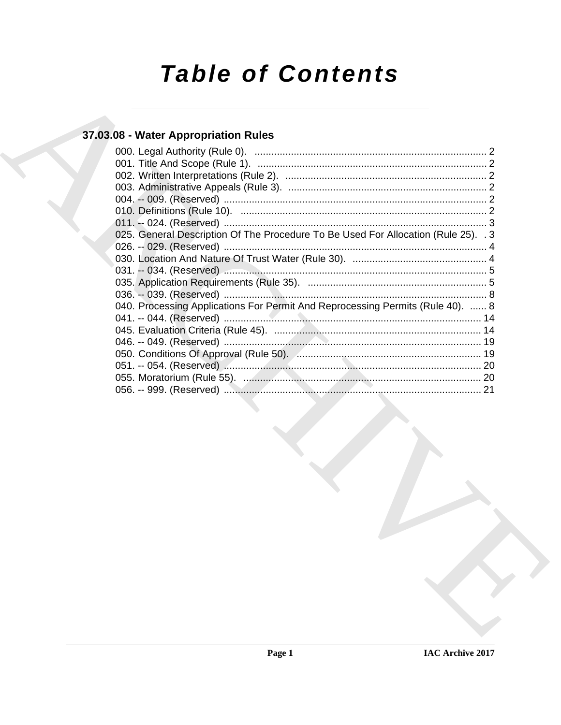# **Table of Contents**

### 37.03.08 - Water Appropriation Rules

|  | 025. General Description Of The Procedure To Be Used For Allocation (Rule 25). 3 |  |
|--|----------------------------------------------------------------------------------|--|
|  |                                                                                  |  |
|  |                                                                                  |  |
|  |                                                                                  |  |
|  |                                                                                  |  |
|  |                                                                                  |  |
|  | 040. Processing Applications For Permit And Reprocessing Permits (Rule 40).  8   |  |
|  |                                                                                  |  |
|  |                                                                                  |  |
|  |                                                                                  |  |
|  |                                                                                  |  |
|  |                                                                                  |  |
|  |                                                                                  |  |
|  |                                                                                  |  |
|  |                                                                                  |  |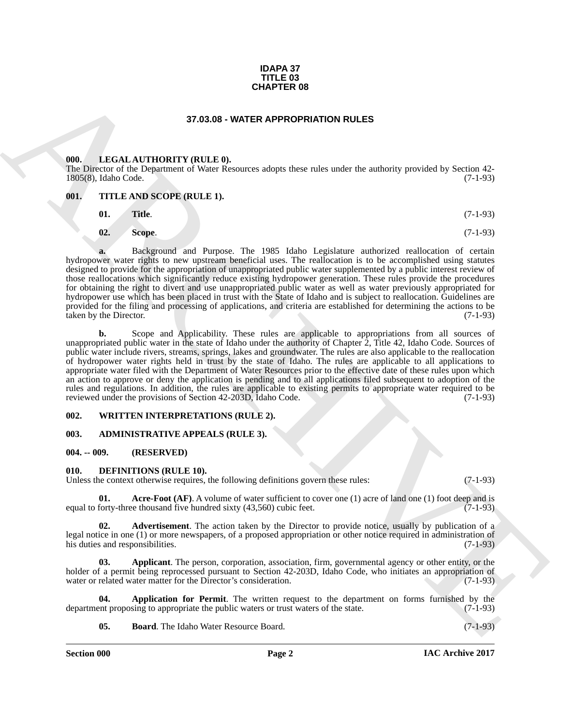#### **IDAPA 37 TITLE 03 CHAPTER 08**

#### **37.03.08 - WATER APPROPRIATION RULES**

#### <span id="page-1-1"></span><span id="page-1-0"></span>**000. LEGAL AUTHORITY (RULE 0).**

The Director of the Department of Water Resources adopts these rules under the authority provided by Section 42- 1805(8), Idaho Code. (7-1-93)

#### <span id="page-1-2"></span>**001. TITLE AND SCOPE (RULE 1).**

- **01. Title**. (7-1-93)
- **02. Scope**. (7-1-93)

**a.** Background and Purpose. The 1985 Idaho Legislature authorized reallocation of certain hydropower water rights to new upstream beneficial uses. The reallocation is to be accomplished using statutes designed to provide for the appropriation of unappropriated public water supplemented by a public interest review of those reallocations which significantly reduce existing hydropower generation. These rules provide the procedures for obtaining the right to divert and use unappropriated public water as well as water previously appropriated for hydropower use which has been placed in trust with the State of Idaho and is subject to reallocation. Guidelines are provided for the filing and processing of applications, and criteria are established for determining the actions to be taken by the Director. (7-1-93) taken by the Director.

**CHAPTER OS**<br> **CHAPTER OS CONSUMERTATION RULES**<br> **CHAPTER ARTICULAR (TIDORITY (RULE)**<br> **CHAPTER ARTICULAR (TIDORITY (RULE)**<br> **CHAPTER CHAPTER ARTICULAR (TIDORITY (RULE)**<br> **CHAPTER CHAPTER CHAPTER II. C**<br> **CHAPTER CHAPTE b.** Scope and Applicability. These rules are applicable to appropriations from all sources of unappropriated public water in the state of Idaho under the authority of Chapter 2, Title 42, Idaho Code. Sources of public water include rivers, streams, springs, lakes and groundwater. The rules are also applicable to the reallocation of hydropower water rights held in trust by the state of Idaho. The rules are applicable to all applications to appropriate water filed with the Department of Water Resources prior to the effective date of these rules upon which an action to approve or deny the application is pending and to all applications filed subsequent to adoption of the rules and regulations. In addition, the rules are applicable to existing permits to appropriate water required to be reviewed under the provisions of Section 42-203D, Idaho Code. (7-1-93)

#### <span id="page-1-3"></span>**002. WRITTEN INTERPRETATIONS (RULE 2).**

#### <span id="page-1-4"></span>**003. ADMINISTRATIVE APPEALS (RULE 3).**

#### <span id="page-1-5"></span>**004. -- 009. (RESERVED)**

#### <span id="page-1-7"></span><span id="page-1-6"></span>**010. DEFINITIONS (RULE 10).**

Unless the context otherwise requires, the following definitions govern these rules: (7-1-93)

<span id="page-1-8"></span>**Acre-Foot (AF)**. A volume of water sufficient to cover one (1) acre of land one (1) foot deep and is see thousand five hundred sixty (43,560) cubic feet. (7-1-93) equal to forty-three thousand five hundred sixty  $(43,560)$  cubic feet.

<span id="page-1-9"></span>**02. Advertisement**. The action taken by the Director to provide notice, usually by publication of a legal notice in one (1) or more newspapers, of a proposed appropriation or other notice required in administration of his duties and responsibilities. (7-1-93) his duties and responsibilities.

<span id="page-1-10"></span>**03. Applicant**. The person, corporation, association, firm, governmental agency or other entity, or the holder of a permit being reprocessed pursuant to Section 42-203D, Idaho Code, who initiates an appropriation of water or related water matter for the Director's consideration. (7-1-93) water or related water matter for the Director's consideration.

**Application for Permit**. The written request to the department on forms furnished by the sing to appropriate the public waters or trust waters of the state. (7-1-93) department proposing to appropriate the public waters or trust waters of the state.

<span id="page-1-12"></span><span id="page-1-11"></span>**05. Board**. The Idaho Water Resource Board. (7-1-93)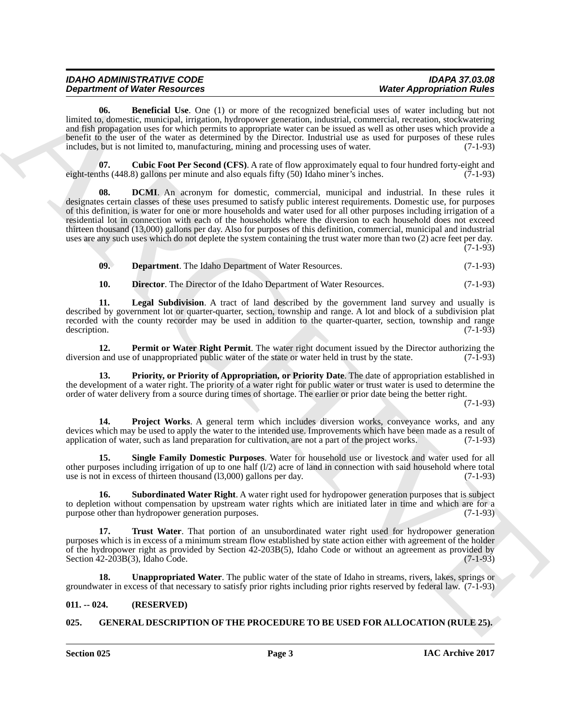| <b>IDAHO ADMINISTRATIVE CODE</b>     | <b>IDAPA 37.03.08</b>            |
|--------------------------------------|----------------------------------|
| <b>Department of Water Resources</b> | <b>Water Appropriation Rules</b> |

<span id="page-2-2"></span>**06. Beneficial Use**. One (1) or more of the recognized beneficial uses of water including but not limited to, domestic, municipal, irrigation, hydropower generation, industrial, commercial, recreation, stockwatering and fish propagation uses for which permits to appropriate water can be issued as well as other uses which provide a benefit to the user of the water as determined by the Director. Industrial use as used for purposes of these rules includes, but is not limited to, manufacturing, mining and processing uses of water. (7-1-93)

<span id="page-2-4"></span><span id="page-2-3"></span>**07. Cubic Foot Per Second (CFS)**. A rate of flow approximately equal to four hundred forty-eight and eight-tenths (448.8) gallons per minute and also equals fifty (50) Idaho miner's inches. (7-1-93)

**Department of Neurology (1)** the method increase of the accounts of the control of Neurology (1) the method increase of the state of Approximation (1) the method increase of the state of the state of the state of the sta **DCMI**. An acronym for domestic, commercial, municipal and industrial. In these rules it designates certain classes of these uses presumed to satisfy public interest requirements. Domestic use, for purposes of this definition, is water for one or more households and water used for all other purposes including irrigation of a residential lot in connection with each of the households where the diversion to each household does not exceed thirteen thousand (13,000) gallons per day. Also for purposes of this definition, commercial, municipal and industrial uses are any such uses which do not deplete the system containing the trust water more than two (2) acre feet per day. (7-1-93)

<span id="page-2-5"></span>**09. Department**. The Idaho Department of Water Resources. (7-1-93)

<span id="page-2-7"></span><span id="page-2-6"></span>**10. Director**. The Director of the Idaho Department of Water Resources. (7-1-93)

**11. Legal Subdivision**. A tract of land described by the government land survey and usually is described by government lot or quarter-quarter, section, township and range. A lot and block of a subdivision plat recorded with the county recorder may be used in addition to the quarter-quarter, section, township and range description. (7-1-93)

<span id="page-2-8"></span>**12. Permit or Water Right Permit**. The water right document issued by the Director authorizing the and use of unappropriated public water of the state or water held in trust by the state. (7-1-93) diversion and use of unappropriated public water of the state or water held in trust by the state.

<span id="page-2-9"></span>**13. Priority, or Priority of Appropriation, or Priority Date**. The date of appropriation established in the development of a water right. The priority of a water right for public water or trust water is used to determine the order of water delivery from a source during times of shortage. The earlier or prior date being the better right.

(7-1-93)

<span id="page-2-10"></span>**14. Project Works**. A general term which includes diversion works, conveyance works, and any devices which may be used to apply the water to the intended use. Improvements which have been made as a result of application of water, such as land preparation for cultivation, are not a part of the project works. (7-1-93)

<span id="page-2-11"></span>**15. Single Family Domestic Purposes**. Water for household use or livestock and water used for all other purposes including irrigation of up to one half  $(1/2)$  acre of land in connection with said household where total use is not in excess of thirteen thousand (l3,000) gallons per day. (7-1-93)

<span id="page-2-12"></span>**16.** Subordinated Water Right. A water right used for hydropower generation purposes that is subject to depletion without compensation by upstream water rights which are initiated later in time and which are for a purpose other than hydropower generation purposes. (7-1-93) purpose other than hydropower generation purposes.

<span id="page-2-13"></span>**17. Trust Water**. That portion of an unsubordinated water right used for hydropower generation purposes which is in excess of a minimum stream flow established by state action either with agreement of the holder of the hydropower right as provided by Section 42-203B(5), Idaho Code or without an agreement as provided by Section 42-203B(5), Idaho Code.  $(7-1-93)$ Section  $42-203B(3)$ , Idaho Code.

<span id="page-2-14"></span>**18. Unappropriated Water**. The public water of the state of Idaho in streams, rivers, lakes, springs or groundwater in excess of that necessary to satisfy prior rights including prior rights reserved by federal law. (7-1-93)

#### <span id="page-2-0"></span>**011. -- 024. (RESERVED)**

#### <span id="page-2-15"></span><span id="page-2-1"></span>**025. GENERAL DESCRIPTION OF THE PROCEDURE TO BE USED FOR ALLOCATION (RULE 25).**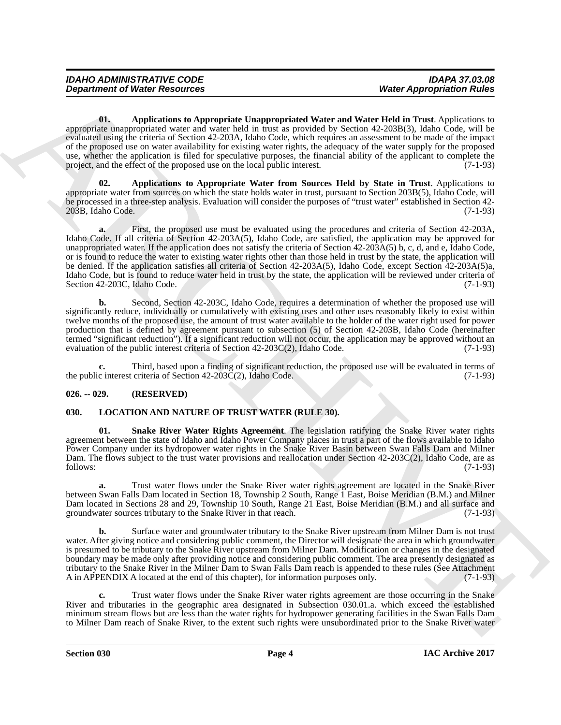<span id="page-3-2"></span>**01. Applications to Appropriate Unappropriated Water and Water Held in Trust**. Applications to appropriate unappropriated water and water held in trust as provided by Section 42-203B(3), Idaho Code, will be evaluated using the criteria of Section 42-203A, Idaho Code, which requires an assessment to be made of the impact of the proposed use on water availability for existing water rights, the adequacy of the water supply for the proposed use, whether the application is filed for speculative purposes, the financial ability of the applicant to complete the project, and the effect of the proposed use on the local public interest. (7-1-93) project, and the effect of the proposed use on the local public interest.

<span id="page-3-3"></span>**02. Applications to Appropriate Water from Sources Held by State in Trust**. Applications to appropriate water from sources on which the state holds water in trust, pursuant to Section 203B(5), Idaho Code, will be processed in a three-step analysis. Evaluation will consider the purposes of "trust water" established in Section 42-  $20\overline{3}B$ , Idaho Code.

**Department of Nieter Resources West Appropriate Water and Water and Water Hold Electric interactions to the effect of the effect of the effect of the effect of the effect of the effect of the effect of the effect of th** First, the proposed use must be evaluated using the procedures and criteria of Section 42-203A, Idaho Code. If all criteria of Section 42-203A(5), Idaho Code, are satisfied, the application may be approved for unappropriated water. If the application does not satisfy the criteria of Section  $42-203A(5)$  b, c, d, and e, Idaho Code, or is found to reduce the water to existing water rights other than those held in trust by the state, the application will be denied. If the application satisfies all criteria of Section 42-203A(5), Idaho Code, except Section 42-203A(5)a, Idaho Code, but is found to reduce water held in trust by the state, the application will be reviewed under criteria of Section 42-203C, Idaho Code. (7-1-93)

**b.** Second, Section 42-203C, Idaho Code, requires a determination of whether the proposed use will significantly reduce, individually or cumulatively with existing uses and other uses reasonably likely to exist within twelve months of the proposed use, the amount of trust water available to the holder of the water right used for power production that is defined by agreement pursuant to subsection (5) of Section 42-203B, Idaho Code (hereinafter termed "significant reduction"). If a significant reduction will not occur, the application may be approved without an evaluation of the public interest criteria of Section  $42-203C(2)$ , Idaho Code. (7-1-93) evaluation of the public interest criteria of Section  $42-203C(2)$ , Idaho Code.

**c.** Third, based upon a finding of significant reduction, the proposed use will be evaluated in terms of the public interest criteria of Section 42-203C(2), Idaho Code. (7-1-93)

#### <span id="page-3-0"></span>**026. -- 029. (RESERVED)**

#### <span id="page-3-4"></span><span id="page-3-1"></span>**030. LOCATION AND NATURE OF TRUST WATER (RULE 30).**

<span id="page-3-5"></span>**01. Snake River Water Rights Agreement**. The legislation ratifying the Snake River water rights agreement between the state of Idaho and Idaho Power Company places in trust a part of the flows available to Idaho Power Company under its hydropower water rights in the Snake River Basin between Swan Falls Dam and Milner Dam. The flows subject to the trust water provisions and reallocation under Section 42-203C(2), Idaho Code, are as follows: (7-1-93) follows: (7-1-93)

**a.** Trust water flows under the Snake River water rights agreement are located in the Snake River between Swan Falls Dam located in Section 18, Township 2 South, Range 1 East, Boise Meridian (B.M.) and Milner Dam located in Sections 28 and 29, Township 10 South, Range 21 East, Boise Meridian (B.M.) and all surface and groundwater sources tributary to the Snake River in that reach. (7-1-93) groundwater sources tributary to the Snake River in that reach.

**b.** Surface water and groundwater tributary to the Snake River upstream from Milner Dam is not trust water. After giving notice and considering public comment, the Director will designate the area in which groundwater is presumed to be tributary to the Snake River upstream from Milner Dam. Modification or changes in the designated boundary may be made only after providing notice and considering public comment. The area presently designated as tributary to the Snake River in the Milner Dam to Swan Falls Dam reach is appended to these rules (See Attachment A in APPENDIX A located at the end of this chapter), for information purposes only. (7-1-93)

**c.** Trust water flows under the Snake River water rights agreement are those occurring in the Snake River and tributaries in the geographic area designated in Subsection 030.01.a. which exceed the established minimum stream flows but are less than the water rights for hydropower generating facilities in the Swan Falls Dam to Milner Dam reach of Snake River, to the extent such rights were unsubordinated prior to the Snake River water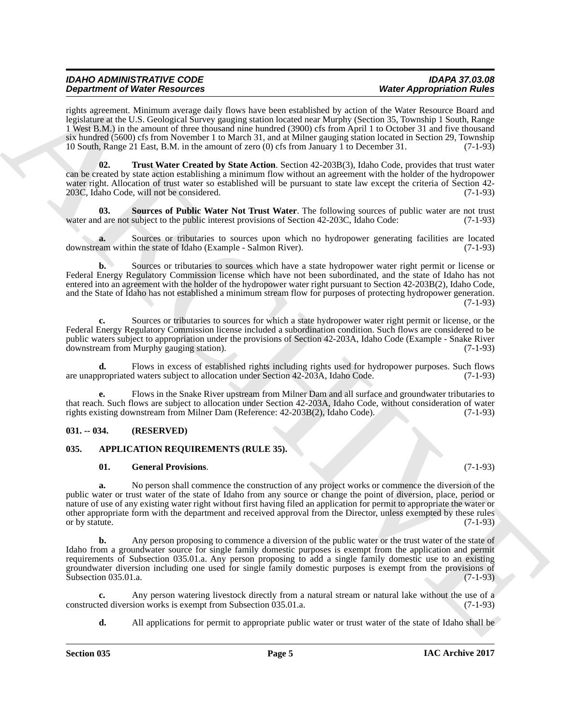| <b>IDAHO ADMINISTRATIVE CODE</b>     | <b>IDAPA 37.03.08</b>            |
|--------------------------------------|----------------------------------|
| <b>Department of Water Resources</b> | <b>Water Appropriation Rules</b> |

rights agreement. Minimum average daily flows have been established by action of the Water Resource Board and legislature at the U.S. Geological Survey gauging station located near Murphy (Section 35, Township 1 South, Range 1 West B.M.) in the amount of three thousand nine hundred (3900) cfs from April 1 to October 31 and five thousand six hundred (5600) cfs from November 1 to March 31, and at Milner gauging station located in Section 29, Township 10 South, Range 21 East, B.M. in the amount of zero (0) cfs from January 1 to December 31. (7-1-93)

<span id="page-4-5"></span>**02. Trust Water Created by State Action**. Section 42-203B(3), Idaho Code, provides that trust water can be created by state action establishing a minimum flow without an agreement with the holder of the hydropower water right. Allocation of trust water so established will be pursuant to state law except the criteria of Section 42- 203C, Idaho Code, will not be considered. (7-1-93)

<span id="page-4-4"></span>**03.** Sources of Public Water Not Trust Water. The following sources of public water are not trust d are not subject to the public interest provisions of Section 42-203C. Idaho Code: (7-1-93) water and are not subject to the public interest provisions of Section 42-203C, Idaho Code:

**a.** Sources or tributaries to sources upon which no hydropower generating facilities are located earm within the state of Idaho (Example - Salmon River). (7-1-93) downstream within the state of Idaho (Example - Salmon River).

**b.** Sources or tributaries to sources which have a state hydropower water right permit or license or Federal Energy Regulatory Commission license which have not been subordinated, and the state of Idaho has not entered into an agreement with the holder of the hydropower water right pursuant to Section 42-203B(2), Idaho Code, and the State of Idaho has not established a minimum stream flow for purposes of protecting hydropower generation. (7-1-93)

**c.** Sources or tributaries to sources for which a state hydropower water right permit or license, or the Federal Energy Regulatory Commission license included a subordination condition. Such flows are considered to be public waters subject to appropriation under the provisions of Section 42-203A, Idaho Code (Example - Snake River downstream from Murphy gauging station). (7-1-93) downstream from Murphy gauging station).

**d.** Flows in excess of established rights including rights used for hydropower purposes. Such flows are unappropriated waters subject to allocation under Section 42-203A, Idaho Code. (7-1-93)

**e.** Flows in the Snake River upstream from Milner Dam and all surface and groundwater tributaries to that reach. Such flows are subject to allocation under Section 42-203A, Idaho Code, without consideration of water rights existing downstream from Milner Dam (Reference: 42-203B(2), Idaho Code). (7-1-93)

#### <span id="page-4-0"></span>**031. -- 034. (RESERVED)**

#### <span id="page-4-1"></span>**035. APPLICATION REQUIREMENTS (RULE 35).**

#### <span id="page-4-3"></span><span id="page-4-2"></span>**01. General Provisions**. (7-1-93)

**a.** No person shall commence the construction of any project works or commence the diversion of the public water or trust water of the state of Idaho from any source or change the point of diversion, place, period or nature of use of any existing water right without first having filed an application for permit to appropriate the water or other appropriate form with the department and received approval from the Director, unless exempted by these rules or by statute. (7-1-93) or by statute.

**Dependent of West Franchises** Characteristics of school and the *Secondal Characteristics* of the *Secondal Characteristics* of the *Secondal Characteristics* of the *Secondal Characteristics* of the *Secondal Characteri* **b.** Any person proposing to commence a diversion of the public water or the trust water of the state of Idaho from a groundwater source for single family domestic purposes is exempt from the application and permit requirements of Subsection 035.01.a. Any person proposing to add a single family domestic use to an existing groundwater diversion including one used for single family domestic purposes is exempt from the provisions of Subsection 035.01.a. (7-1-93)

**c.** Any person watering livestock directly from a natural stream or natural lake without the use of a ted diversion works is exempt from Subsection 035.01.a. (7-1-93) constructed diversion works is exempt from Subsection 035.01.a.

**d.** All applications for permit to appropriate public water or trust water of the state of Idaho shall be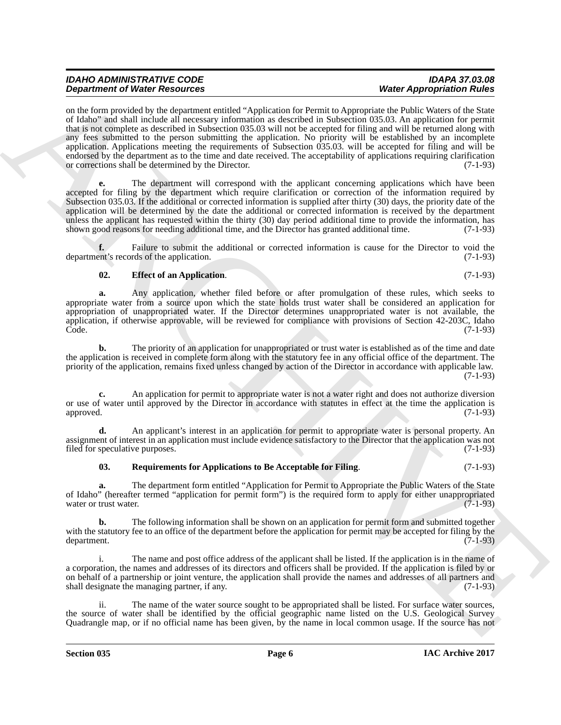| <b>IDAHO ADMINISTRATIVE CODE</b>     | <b>IDAPA 37.03.08</b>            |
|--------------------------------------|----------------------------------|
| <b>Department of Water Resources</b> | <b>Water Appropriation Rules</b> |

**Dependent of West Fassion can be the simulated and the simulated set of particular the simulation of the simulation of the simulation of the simulation of the simulation of the simulation of the simulation of the simulat** on the form provided by the department entitled "Application for Permit to Appropriate the Public Waters of the State of Idaho" and shall include all necessary information as described in Subsection 035.03. An application for permit that is not complete as described in Subsection 035.03 will not be accepted for filing and will be returned along with any fees submitted to the person submitting the application. No priority will be established by an incomplete application. Applications meeting the requirements of Subsection 035.03. will be accepted for filing and will be endorsed by the department as to the time and date received. The acceptability of applications requiring clarification or corrections shall be determined by the Director. (7-1-93) or corrections shall be determined by the Director.

**e.** The department will correspond with the applicant concerning applications which have been accepted for filing by the department which require clarification or correction of the information required by Subsection 035.03. If the additional or corrected information is supplied after thirty (30) days, the priority date of the application will be determined by the date the additional or corrected information is received by the department unless the applicant has requested within the thirty (30) day period additional time to provide the information, has shown good reasons for needing additional time, and the Director has granted additional time. (7-1-93)

**f.** Failure to submit the additional or corrected information is cause for the Director to void the ent's records of the application. (7-1-93) department's records of the application.

#### <span id="page-5-0"></span>**02. Effect of an Application**. (7-1-93)

**a.** Any application, whether filed before or after promulgation of these rules, which seeks to appropriate water from a source upon which the state holds trust water shall be considered an application for appropriation of unappropriated water. If the Director determines unappropriated water is not available, the application, if otherwise approvable, will be reviewed for compliance with provisions of Section 42-203C, Idaho Code. (7-1-93) Code. (7-1-93)

**b.** The priority of an application for unappropriated or trust water is established as of the time and date the application is received in complete form along with the statutory fee in any official office of the department. The priority of the application, remains fixed unless changed by action of the Director in accordance with applicable law. (7-1-93)

**c.** An application for permit to appropriate water is not a water right and does not authorize diversion or use of water until approved by the Director in accordance with statutes in effect at the time the application is approved. (7-1-93)

**d.** An applicant's interest in an application for permit to appropriate water is personal property. An assignment of interest in an application must include evidence satisfactory to the Director that the application was not filed for speculative purposes. (7-1-93)

<span id="page-5-1"></span>**03. Requirements for Applications to Be Acceptable for Filing**. (7-1-93)

**a.** The department form entitled "Application for Permit to Appropriate the Public Waters of the State of Idaho" (hereafter termed "application for permit form") is the required form to apply for either unappropriated water or trust water.

**b.** The following information shall be shown on an application for permit form and submitted together with the statutory fee to an office of the department before the application for permit may be accepted for filing by the department. (7-1-93)

i. The name and post office address of the applicant shall be listed. If the application is in the name of a corporation, the names and addresses of its directors and officers shall be provided. If the application is filed by or on behalf of a partnership or joint venture, the application shall provide the names and addresses of all partners and shall designate the managing partner, if any. (7-1-93)

ii. The name of the water source sought to be appropriated shall be listed. For surface water sources, the source of water shall be identified by the official geographic name listed on the U.S. Geological Survey Quadrangle map, or if no official name has been given, by the name in local common usage. If the source has not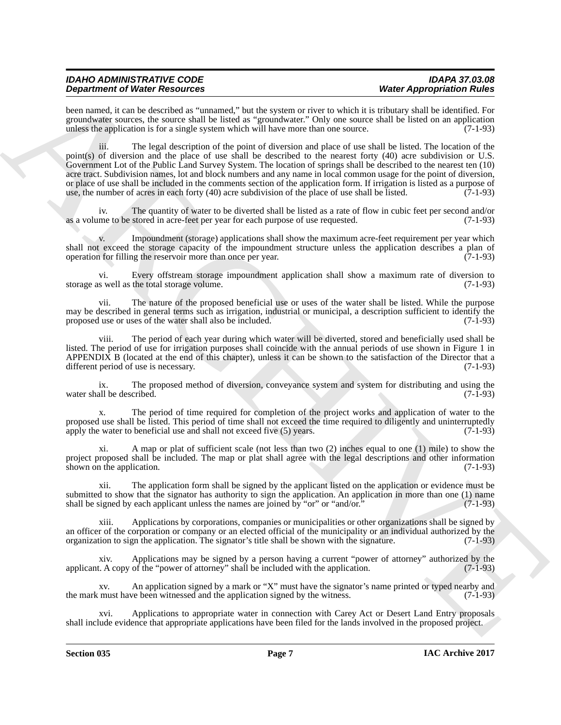### *IDAHO ADMINISTRATIVE CODE IDAPA 37.03.08 Department of Water Resources*

been named, it can be described as "unnamed," but the system or river to which it is tributary shall be identified. For groundwater sources, the source shall be listed as "groundwater." Only one source shall be listed on an application unless the application is for a single system which will have more than one source. (7-1-93)

**Dependent of West Passing country that the proposition of the system of the system of the system of the system of the system of the system of the system of the system of the system of the system of the system of the syst** iii. The legal description of the point of diversion and place of use shall be listed. The location of the point(s) of diversion and the place of use shall be described to the nearest forty (40) acre subdivision or U.S. Government Lot of the Public Land Survey System. The location of springs shall be described to the nearest ten (10) acre tract. Subdivision names, lot and block numbers and any name in local common usage for the point of diversion, or place of use shall be included in the comments section of the application form. If irrigation is listed as a purpose of use, the number of acres in each forty (40) acre subdivision of the place of use shall be listed. (7-1-93)

iv. The quantity of water to be diverted shall be listed as a rate of flow in cubic feet per second and/or me to be stored in acre-feet per year for each purpose of use requested. (7-1-93) as a volume to be stored in acre-feet per year for each purpose of use requested.

v. Impoundment (storage) applications shall show the maximum acre-feet requirement per year which shall not exceed the storage capacity of the impoundment structure unless the application describes a plan of operation for filling the reservoir more than once per year. (7-1-93) operation for filling the reservoir more than once per year.

vi. Every offstream storage impoundment application shall show a maximum rate of diversion to storage as well as the total storage volume. (7-1-93)

vii. The nature of the proposed beneficial use or uses of the water shall be listed. While the purpose may be described in general terms such as irrigation, industrial or municipal, a description sufficient to identify the proposed use or uses of the water shall also be included. (7-1-93) proposed use or uses of the water shall also be included.

viii. The period of each year during which water will be diverted, stored and beneficially used shall be listed. The period of use for irrigation purposes shall coincide with the annual periods of use shown in Figure 1 in APPENDIX B (located at the end of this chapter), unless it can be shown to the satisfaction of the Director that a different period of use is necessary. (7-1-93)

ix. The proposed method of diversion, conveyance system and system for distributing and using the water shall be described.  $(7-\overline{1}-93)$ 

x. The period of time required for completion of the project works and application of water to the proposed use shall be listed. This period of time shall not exceed the time required to diligently and uninterruptedly apply the water to beneficial use and shall not exceed five (5) years. (7-1-93) apply the water to beneficial use and shall not exceed five  $(5)$  years.

xi. A map or plat of sufficient scale (not less than two (2) inches equal to one (1) mile) to show the project proposed shall be included. The map or plat shall agree with the legal descriptions and other information shown on the application. (7-1-93) shown on the application.

xii. The application form shall be signed by the applicant listed on the application or evidence must be submitted to show that the signator has authority to sign the application. An application in more than one (1) name shall be signed by each applicant unless the names are joined by "or" or "and/or."  $(7-1-93)$ 

xiii. Applications by corporations, companies or municipalities or other organizations shall be signed by an officer of the corporation or company or an elected official of the municipality or an individual authorized by the organization to sign the application. The signator's title shall be shown with the signature. (7-1-93)

Applications may be signed by a person having a current "power of attorney" authorized by the of the "power of attorney" shall be included with the application. (7-1-93) applicant. A copy of the "power of attorney" shall be included with the application.

xv. An application signed by a mark or "X" must have the signator's name printed or typed nearby and the mark must have been witnessed and the application signed by the witness. (7-1-93)

Applications to appropriate water in connection with Carey Act or Desert Land Entry proposals shall include evidence that appropriate applications have been filed for the lands involved in the proposed project.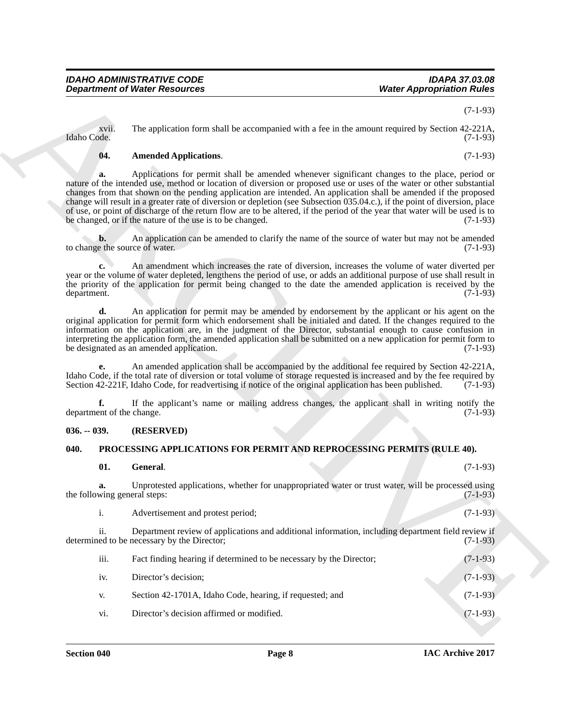#### <span id="page-7-2"></span>**04. Amended Applications**. (7-1-93)

#### <span id="page-7-0"></span>**036. -- 039. (RESERVED)**

#### <span id="page-7-4"></span><span id="page-7-3"></span><span id="page-7-1"></span>**040. PROCESSING APPLICATIONS FOR PERMIT AND REPROCESSING PERMITS (RULE 40).**

|                                      | <b>Department of Water Resources</b>                                                                                                                                                                                                                                                                                                                                                                                                                                                                                                                                                                                                                                  | <b>Water Appropriation Rules</b> |
|--------------------------------------|-----------------------------------------------------------------------------------------------------------------------------------------------------------------------------------------------------------------------------------------------------------------------------------------------------------------------------------------------------------------------------------------------------------------------------------------------------------------------------------------------------------------------------------------------------------------------------------------------------------------------------------------------------------------------|----------------------------------|
|                                      |                                                                                                                                                                                                                                                                                                                                                                                                                                                                                                                                                                                                                                                                       | $(7-1-93)$                       |
| xvii.<br>Idaho Code.                 | The application form shall be accompanied with a fee in the amount required by Section 42-221A,                                                                                                                                                                                                                                                                                                                                                                                                                                                                                                                                                                       | $(7-1-93)$                       |
| 04.                                  | <b>Amended Applications.</b>                                                                                                                                                                                                                                                                                                                                                                                                                                                                                                                                                                                                                                          | $(7-1-93)$                       |
| a.                                   | Applications for permit shall be amended whenever significant changes to the place, period or<br>nature of the intended use, method or location of diversion or proposed use or uses of the water or other substantial<br>changes from that shown on the pending application are intended. An application shall be amended if the proposed<br>change will result in a greater rate of diversion or depletion (see Subsection 035.04.c.), if the point of diversion, place<br>of use, or point of discharge of the return flow are to be altered, if the period of the year that water will be used is to<br>be changed, or if the nature of the use is to be changed. | $(7-1-93)$                       |
| b.<br>to change the source of water. | An application can be amended to clarify the name of the source of water but may not be amended                                                                                                                                                                                                                                                                                                                                                                                                                                                                                                                                                                       | $(7-1-93)$                       |
| department.                          | An amendment which increases the rate of diversion, increases the volume of water diverted per<br>year or the volume of water depleted, lengthens the period of use, or adds an additional purpose of use shall result in<br>the priority of the application for permit being changed to the date the amended application is received by the                                                                                                                                                                                                                                                                                                                          | $(7-1-93)$                       |
| d.                                   | An application for permit may be amended by endorsement by the applicant or his agent on the<br>original application for permit form which endorsement shall be initialed and dated. If the changes required to the<br>information on the application are, in the judgment of the Director, substantial enough to cause confusion in<br>interpreting the application form, the amended application shall be submitted on a new application for permit form to<br>be designated as an amended application.                                                                                                                                                             | $(7-1-93)$                       |
|                                      | An amended application shall be accompanied by the additional fee required by Section 42-221A,<br>Idaho Code, if the total rate of diversion or total volume of storage requested is increased and by the fee required by<br>Section 42-221F, Idaho Code, for readvertising if notice of the original application has been published.                                                                                                                                                                                                                                                                                                                                 | $(7-1-93)$                       |
| f.<br>department of the change.      | If the applicant's name or mailing address changes, the applicant shall in writing notify the                                                                                                                                                                                                                                                                                                                                                                                                                                                                                                                                                                         | $(7-1-93)$                       |
| $036. - 039.$                        | (RESERVED)                                                                                                                                                                                                                                                                                                                                                                                                                                                                                                                                                                                                                                                            |                                  |
| 040.                                 | PROCESSING APPLICATIONS FOR PERMIT AND REPROCESSING PERMITS (RULE 40).                                                                                                                                                                                                                                                                                                                                                                                                                                                                                                                                                                                                |                                  |
| 01.                                  | General.                                                                                                                                                                                                                                                                                                                                                                                                                                                                                                                                                                                                                                                              | $(7-1-93)$                       |
| a.<br>the following general steps:   | Unprotested applications, whether for unappropriated water or trust water, will be processed using                                                                                                                                                                                                                                                                                                                                                                                                                                                                                                                                                                    | $(7 - 1 - 93)$                   |
| i.                                   | Advertisement and protest period;                                                                                                                                                                                                                                                                                                                                                                                                                                                                                                                                                                                                                                     | $(7-1-93)$                       |
| ii.                                  | Department review of applications and additional information, including department field review if<br>determined to be necessary by the Director;                                                                                                                                                                                                                                                                                                                                                                                                                                                                                                                     | $(7-1-93)$                       |
| iii.                                 | Fact finding hearing if determined to be necessary by the Director;                                                                                                                                                                                                                                                                                                                                                                                                                                                                                                                                                                                                   | $(7-1-93)$                       |
|                                      | Director's decision;                                                                                                                                                                                                                                                                                                                                                                                                                                                                                                                                                                                                                                                  | $(7-1-93)$                       |
| iv.                                  |                                                                                                                                                                                                                                                                                                                                                                                                                                                                                                                                                                                                                                                                       |                                  |
| V.                                   | Section 42-1701A, Idaho Code, hearing, if requested; and                                                                                                                                                                                                                                                                                                                                                                                                                                                                                                                                                                                                              | $(7-1-93)$                       |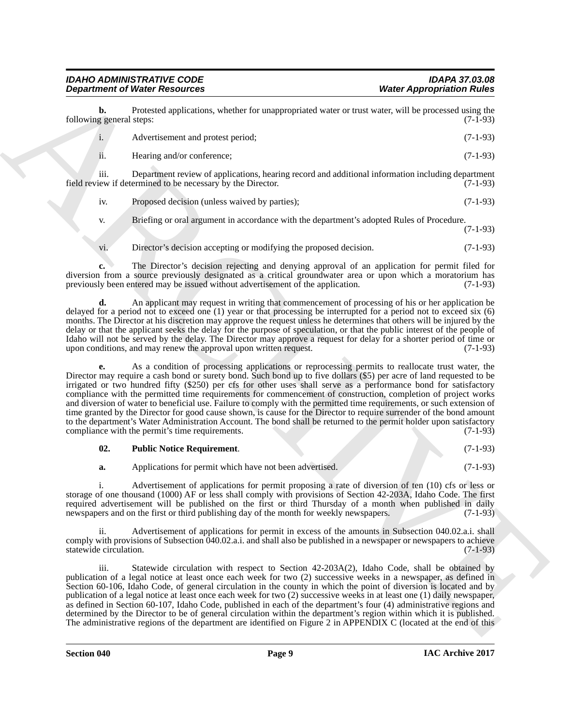#### *IDAHO ADMINISTRATIVE CODE IDAPA 37.03.08 Department of Water Resources*

**b.** Protested applications, whether for unappropriated water or trust water, will be processed using the general steps: (7-1-93) following general steps:

i. Advertisement and protest period; (7-1-93) ii. Hearing and/or conference; (7-1-93)

iii. Department review of applications, hearing record and additional information including department field review if determined to be necessary by the Director.

iv. Proposed decision (unless waived by parties); (7-1-93)

v. Briefing or oral argument in accordance with the department's adopted Rules of Procedure. (7-1-93)

vi. Director's decision accepting or modifying the proposed decision. (7-1-93)

**c.** The Director's decision rejecting and denying approval of an application for permit filed for diversion from a source previously designated as a critical groundwater area or upon which a moratorium has previously been entered may be issued without advertisement of the application. (7-1-93)

**d.** An applicant may request in writing that commencement of processing of his or her application be delayed for a period not to exceed one (1) year or that processing be interrupted for a period not to exceed six (6) months. The Director at his discretion may approve the request unless he determines that others will be injured by the delay or that the applicant seeks the delay for the purpose of speculation, or that the public interest of the people of Idaho will not be served by the delay. The Director may approve a request for delay for a shorter period of time or upon conditions, and may renew the approval upon written request. (7-1-93) upon conditions, and may renew the approval upon written request.

**Department of Wester Association** Wester Association Wester Association Wester Association Relief (and the state of the state of the state of the state of the state of the state of the state of the state of the state of **e.** As a condition of processing applications or reprocessing permits to reallocate trust water, the Director may require a cash bond or surety bond. Such bond up to five dollars (\$5) per acre of land requested to be irrigated or two hundred fifty (\$250) per cfs for other uses shall serve as a performance bond for satisfactory compliance with the permitted time requirements for commencement of construction, completion of project works and diversion of water to beneficial use. Failure to comply with the permitted time requirements, or such extension of time granted by the Director for good cause shown, is cause for the Director to require surrender of the bond amount to the department's Water Administration Account. The bond shall be returned to the permit holder upon satisfactory compliance with the permit's time requirements. (7-1-93) compliance with the permit's time requirements.

<span id="page-8-0"></span>

| 02. | <b>Public Notice Requirement.</b> |  |  |  |  | $(7-1-93)$ |
|-----|-----------------------------------|--|--|--|--|------------|
|-----|-----------------------------------|--|--|--|--|------------|

**a.** Applications for permit which have not been advertised. (7-1-93)

i. Advertisement of applications for permit proposing a rate of diversion of ten (10) cfs or less or storage of one thousand (1000) AF or less shall comply with provisions of Section 42-203A, Idaho Code. The first required advertisement will be published on the first or third Thursday of a month when published in daily newspapers and on the first or third publishing day of the month for weekly newspapers. (7-1-93) newspapers and on the first or third publishing day of the month for weekly newspapers.

Advertisement of applications for permit in excess of the amounts in Subsection 040.02.a.i. shall comply with provisions of Subsection 040.02.a.i. and shall also be published in a newspaper or newspapers to achieve statewide circulation. (7-1-93) statewide circulation.

iii. Statewide circulation with respect to Section 42-203A(2), Idaho Code, shall be obtained by publication of a legal notice at least once each week for two (2) successive weeks in a newspaper, as defined in Section 60-106, Idaho Code, of general circulation in the county in which the point of diversion is located and by publication of a legal notice at least once each week for two (2) successive weeks in at least one (1) daily newspaper, as defined in Section 60-107, Idaho Code, published in each of the department's four (4) administrative regions and determined by the Director to be of general circulation within the department's region within which it is published. The administrative regions of the department are identified on Figure 2 in APPENDIX C (located at the end of this

**Section 040 Page 9**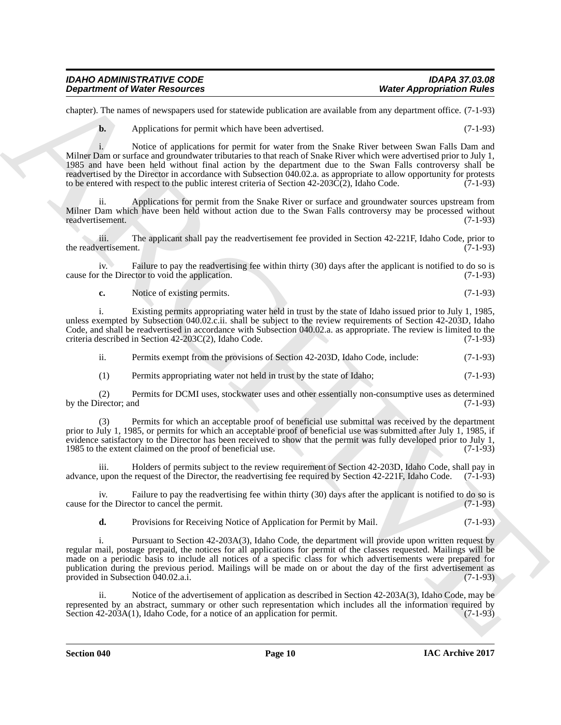| <b>IDAHO ADMINISTRATIVE CODE</b>     | <b>IDAPA 37.03.08</b>            |
|--------------------------------------|----------------------------------|
| <b>Department of Water Resources</b> | <b>Water Appropriation Rules</b> |

chapter). The names of newspapers used for statewide publication are available from any department office. (7-1-93)

**b.** Applications for permit which have been advertised. (7-1-93)

**Department of Niese Research external transmission** When Appropriation Rivers (1993). The mass of anomalism control in the state of the state of the state of the state of the state of the state of the state of the state i. Notice of applications for permit for water from the Snake River between Swan Falls Dam and Milner Dam or surface and groundwater tributaries to that reach of Snake River which were advertised prior to July 1, 1985 and have been held without final action by the department due to the Swan Falls controversy shall be readvertised by the Director in accordance with Subsection 040.02.a. as appropriate to allow opportunity for protests to be entered with respect to the public interest criteria of Section 42-203C(2), Idaho Code. (7-1-93)

ii. Applications for permit from the Snake River or surface and groundwater sources upstream from Milner Dam which have been held without action due to the Swan Falls controversy may be processed without readvertisement. (7-1-93) readvertisement.

iii. The applicant shall pay the readvertisement fee provided in Section 42-221F, Idaho Code, prior to the readvertisement.

iv. Failure to pay the readvertising fee within thirty (30) days after the applicant is notified to do so is cause for the Director to void the application. (7-1-93)

**c.** Notice of existing permits. (7-1-93)

i. Existing permits appropriating water held in trust by the state of Idaho issued prior to July 1, 1985, unless exempted by Subsection 040.02.c.ii. shall be subject to the review requirements of Section 42-203D, Idaho Code, and shall be readvertised in accordance with Subsection 040.02.a. as appropriate. The review is limited to the criteria described in Section 42-203C(2), Idaho Code. (7-1-93)

ii. Permits exempt from the provisions of Section 42-203D, Idaho Code, include: (7-1-93)

(1) Permits appropriating water not held in trust by the state of Idaho; (7-1-93)

(2) Permits for DCMI uses, stockwater uses and other essentially non-consumptive uses as determined by the Director; and

Permits for which an acceptable proof of beneficial use submittal was received by the department prior to July 1, 1985, or permits for which an acceptable proof of beneficial use was submitted after July 1, 1985, if evidence satisfactory to the Director has been received to show that the permit was fully developed prior to July 1, 1985 to the extent claimed on the proof of beneficial use. (7-1-93)

iii. Holders of permits subject to the review requirement of Section 42-203D, Idaho Code, shall pay in advance, upon the request of the Director, the readvertising fee required by Section 42-221F, Idaho Code. (7-1-93)

iv. Failure to pay the readvertising fee within thirty (30) days after the applicant is notified to do so is cause for the Director to cancel the permit. (7-1-93)

**d.** Provisions for Receiving Notice of Application for Permit by Mail. (7-1-93)

i. Pursuant to Section 42-203A(3), Idaho Code, the department will provide upon written request by regular mail, postage prepaid, the notices for all applications for permit of the classes requested. Mailings will be made on a periodic basis to include all notices of a specific class for which advertisements were prepared for publication during the previous period. Mailings will be made on or about the day of the first advertisement as provided in Subsection 040.02.a.i. (7-1-93)

ii. Notice of the advertisement of application as described in Section 42-203A(3), Idaho Code, may be represented by an abstract, summary or other such representation which includes all the information required by Section 42-203A(1), Idaho Code, for a notice of an application for permit. (7-1-93)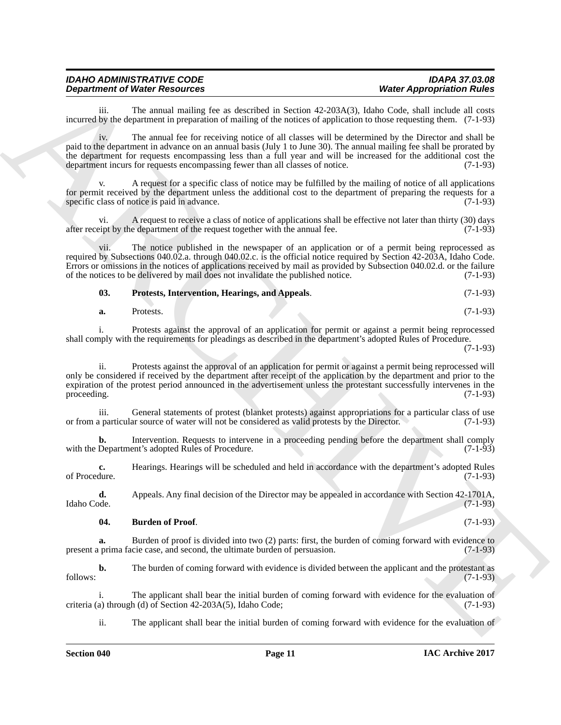| <b>IDAHO ADMINISTRATIVE CODE</b>     | <b>IDAPA 37.03.08</b>            |
|--------------------------------------|----------------------------------|
| <b>Department of Water Resources</b> | <b>Water Appropriation Rules</b> |

iii. The annual mailing fee as described in Section 42-203A(3), Idaho Code, shall include all costs incurred by the department in preparation of mailing of the notices of application to those requesting them. (7-1-93)

iv. The annual fee for receiving notice of all classes will be determined by the Director and shall be paid to the department in advance on an annual basis (July 1 to June 30). The annual mailing fee shall be prorated by the department for requests encompassing less than a full year and will be increased for the additional cost the department incurs for requests encompassing fewer than all classes of notice. (7-1-93) department incurs for requests encompassing fewer than all classes of notice.

v. A request for a specific class of notice may be fulfilled by the mailing of notice of all applications for permit received by the department unless the additional cost to the department of preparing the requests for a specific class of notice is paid in advance. (7-1-93)

vi. A request to receive a class of notice of applications shall be effective not later than thirty (30) days after receipt by the department of the request together with the annual fee. (7-1-93)

**Department of Water Resolution** the Associated System (28/234AT), Islam Costy and Resolution Risks<br>
incurred Fig. The small and line time spherical in System (28/234AT), Islam Costy and all are simple<br>
incurred by the de vii. The notice published in the newspaper of an application or of a permit being reprocessed as required by Subsections 040.02.a. through 040.02.c. is the official notice required by Section 42-203A, Idaho Code. Errors or omissions in the notices of applications received by mail as provided by Subsection 040.02.d. or the failure of the notices to be delivered by mail does not invalidate the published notice. (7-1-93)

<span id="page-10-1"></span>**03. Protests, Intervention, Hearings, and Appeals**. (7-1-93)

| a. | Protests. |  |  | $(7-1-93)$ |  |  |  |
|----|-----------|--|--|------------|--|--|--|
|----|-----------|--|--|------------|--|--|--|

i. Protests against the approval of an application for permit or against a permit being reprocessed shall comply with the requirements for pleadings as described in the department's adopted Rules of Procedure.

(7-1-93)

ii. Protests against the approval of an application for permit or against a permit being reprocessed will only be considered if received by the department after receipt of the application by the department and prior to the expiration of the protest period announced in the advertisement unless the protestant successfully intervenes in the proceeding.  $(7-1-93)$ 

iii. General statements of protest (blanket protests) against appropriations for a particular class of use<br>a particular source of water will not be considered as valid protests by the Director. (7-1-93) or from a particular source of water will not be considered as valid protests by the Director.

**b.** Intervention. Requests to intervene in a proceeding pending before the department shall comply Department's adopted Rules of Procedure. (7-1-93) with the Department's adopted Rules of Procedure.

**c.** Hearings. Hearings will be scheduled and held in accordance with the department's adopted Rules of Procedure. (7-1-93) of Procedure. (7-1-93)

**d.** Appeals. Any final decision of the Director may be appealed in accordance with Section 42-1701A, Idaho Code. (7-1-93) Idaho Code. (7-1-93)

#### <span id="page-10-0"></span>**04. Burden of Proof**. (7-1-93)

**a.** Burden of proof is divided into two (2) parts: first, the burden of coming forward with evidence to present a prima facie case, and second, the ultimate burden of persuasion. (7-1-93)

**b.** The burden of coming forward with evidence is divided between the applicant and the protestant as follows: (7-1-93)

i. The applicant shall bear the initial burden of coming forward with evidence for the evaluation of a) through (d) of Section 42-203A(5), Idaho Code; (7-1-93) criteria (a) through (d) of Section 42-203A(5), Idaho Code;

ii. The applicant shall bear the initial burden of coming forward with evidence for the evaluation of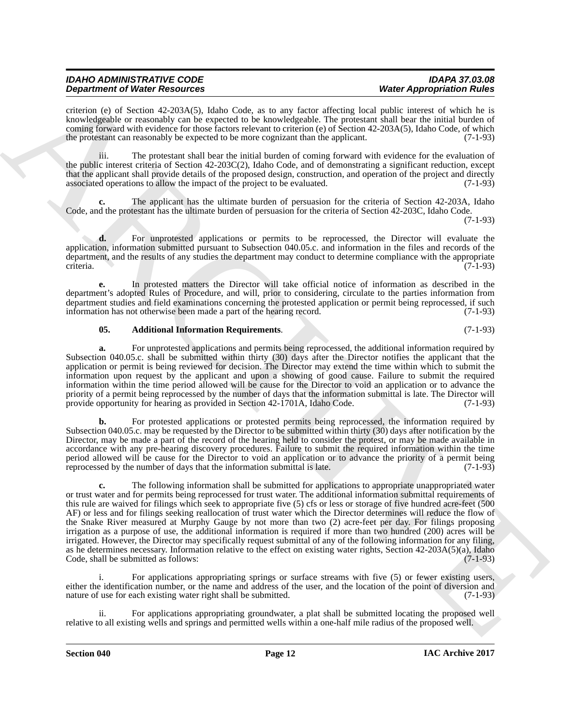| <b>IDAHO ADMINISTRATIVE CODE</b>     | <b>IDAPA 37.03.08</b>            |
|--------------------------------------|----------------------------------|
| <b>Department of Water Resources</b> | <b>Water Appropriation Rules</b> |

criterion (e) of Section 42-203A(5), Idaho Code, as to any factor affecting local public interest of which he is knowledgeable or reasonably can be expected to be knowledgeable. The protestant shall bear the initial burden of coming forward with evidence for those factors relevant to criterion (e) of Section 42-203A(5), Idaho Code, of which the protestant can reasonably be expected to be more cognizant than the applicant. (7-1-93)

iii. The protestant shall bear the initial burden of coming forward with evidence for the evaluation of the public interest criteria of Section 42-203C(2), Idaho Code, and of demonstrating a significant reduction, except that the applicant shall provide details of the proposed design, construction, and operation of the project and directly associated operations to allow the impact of the project to be evaluated. (7-1-93)

**c.** The applicant has the ultimate burden of persuasion for the criteria of Section 42-203A, Idaho Code, and the protestant has the ultimate burden of persuasion for the criteria of Section 42-203C, Idaho Code. (7-1-93)

**d.** For unprotested applications or permits to be reprocessed, the Director will evaluate the application, information submitted pursuant to Subsection 040.05.c. and information in the files and records of the department, and the results of any studies the department may conduct to determine compliance with the appropriate criteria. criteria. (7-1-93)

**e.** In protested matters the Director will take official notice of information as described in the department's adopted Rules of Procedure, and will, prior to considering, circulate to the parties information from department studies and field examinations concerning the protested application or permit being reprocessed, if such information has not otherwise been made a part of the hearing record. (7-1-93) information has not otherwise been made a part of the hearing record.

#### <span id="page-11-0"></span>**05. Additional Information Requirements**. (7-1-93)

**a.** For unprotested applications and permits being reprocessed, the additional information required by Subsection 040.05.c. shall be submitted within thirty (30) days after the Director notifies the applicant that the application or permit is being reviewed for decision. The Director may extend the time within which to submit the information upon request by the applicant and upon a showing of good cause. Failure to submit the required information within the time period allowed will be cause for the Director to void an application or to advance the priority of a permit being reprocessed by the number of days that the information submittal is late. The Director will provide opportunity for hearing as provided in Section 42-1701A, Idaho Code. (7-1-93) provide opportunity for hearing as provided in Section 42-1701A, Idaho Code.

**b.** For protested applications or protested permits being reprocessed, the information required by Subsection 040.05.c. may be requested by the Director to be submitted within thirty (30) days after notification by the Director, may be made a part of the record of the hearing held to consider the protest, or may be made available in accordance with any pre-hearing discovery procedures. Failure to submit the required information within the time period allowed will be cause for the Director to void an application or to advance the priority of a permit being<br>reprocessed by the number of days that the information submittal is late. (7-1-93) reprocessed by the number of days that the information submittal is late.

**Dependent of Water Resources** C. D. Extra a to mp leads also the specific term in the specific of Resources C. The specific of Resources C. The specific of Resources C. The specific of Resources C. The specific of Resour **c.** The following information shall be submitted for applications to appropriate unappropriated water or trust water and for permits being reprocessed for trust water. The additional information submittal requirements of this rule are waived for filings which seek to appropriate five (5) cfs or less or storage of five hundred acre-feet (500 AF) or less and for filings seeking reallocation of trust water which the Director determines will reduce the flow of the Snake River measured at Murphy Gauge by not more than two (2) acre-feet per day. For filings proposing irrigation as a purpose of use, the additional information is required if more than two hundred (200) acres will be irrigated. However, the Director may specifically request submittal of any of the following information for any filing, as he determines necessary. Information relative to the effect on existing water rights, Section 42-203A(5)(a), Idaho Code, shall be submitted as follows: (7-1-93) Code, shall be submitted as follows:

For applications appropriating springs or surface streams with five (5) or fewer existing users, either the identification number, or the name and address of the user, and the location of the point of diversion and nature of use for each existing water right shall be submitted. (7-1-93)

ii. For applications appropriating groundwater, a plat shall be submitted locating the proposed well relative to all existing wells and springs and permitted wells within a one-half mile radius of the proposed well.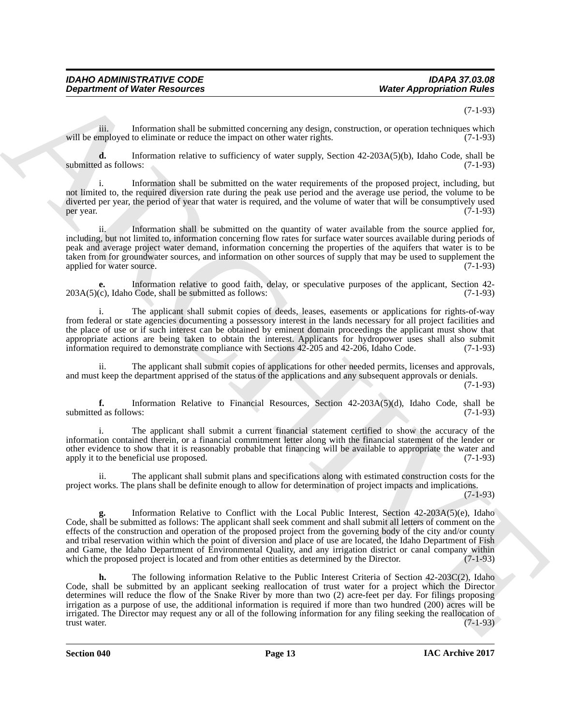#### (7-1-93)

iii. Information shall be submitted concerning any design, construction, or operation techniques which will be employed to eliminate or reduce the impact on other water rights. (7-1-93)

**d.** Information relative to sufficiency of water supply, Section 42-203A(5)(b), Idaho Code, shall be d as follows: (7-1-93) submitted as follows:

i. Information shall be submitted on the water requirements of the proposed project, including, but not limited to, the required diversion rate during the peak use period and the average use period, the volume to be diverted per year, the period of year that water is required, and the volume of water that will be consumptively used<br>(7-1-93) per year.  $(7-1-93)$ 

Information shall be submitted on the quantity of water available from the source applied for, including, but not limited to, information concerning flow rates for surface water sources available during periods of peak and average project water demand, information concerning the properties of the aquifers that water is to be taken from for groundwater sources, and information on other sources of supply that may be used to supplement the applied for water source.

**e.** Information relative to good faith, delay, or speculative purposes of the applicant, Section 42-<br>(c), Idaho Code, shall be submitted as follows: (7-1-93)  $203A(5)(c)$ , Idaho Code, shall be submitted as follows:

i. The applicant shall submit copies of deeds, leases, easements or applications for rights-of-way from federal or state agencies documenting a possessory interest in the lands necessary for all project facilities and the place of use or if such interest can be obtained by eminent domain proceedings the applicant must show that appropriate actions are being taken to obtain the interest. Applicants for hydropower uses shall also submit information required to demonstrate compliance with Sections 42-205 and 42-206, Idaho Code. (7-1-93) information required to demonstrate compliance with Sections  $42$ - $205$  and  $42$ - $206$ , Idaho Code.

The applicant shall submit copies of applications for other needed permits, licenses and approvals, and must keep the department apprised of the status of the applications and any subsequent approvals or denials.

(7-1-93)

**f.** Information Relative to Financial Resources, Section 42-203A(5)(d), Idaho Code, shall be submitted as follows: (7-1-93)

i. The applicant shall submit a current financial statement certified to show the accuracy of the information contained therein, or a financial commitment letter along with the financial statement of the lender or other evidence to show that it is reasonably probable that financing will be available to appropriate the water and apply it to the beneficial use proposed. (7-1-93)

ii. The applicant shall submit plans and specifications along with estimated construction costs for the project works. The plans shall be definite enough to allow for determination of project impacts and implications.

(7-1-93)

**g.** Information Relative to Conflict with the Local Public Interest, Section 42-203A(5)(e), Idaho Code, shall be submitted as follows: The applicant shall seek comment and shall submit all letters of comment on the effects of the construction and operation of the proposed project from the governing body of the city and/or county and tribal reservation within which the point of diversion and place of use are located, the Idaho Department of Fish and Game, the Idaho Department of Environmental Quality, and any irrigation district or canal company within which the proposed project is located and from other entities as determined by the Director. (7-1-93) which the proposed project is located and from other entities as determined by the Director.

**Department of Nieser Research estate and the stress of the stress of the stress of the stress of the stress of the stress of the stress of the stress of the stress of the stress of the stress of the stress of the stress h.** The following information Relative to the Public Interest Criteria of Section 42-203C(2), Idaho Code, shall be submitted by an applicant seeking reallocation of trust water for a project which the Director determines will reduce the flow of the Snake River by more than two (2) acre-feet per day. For filings proposing irrigation as a purpose of use, the additional information is required if more than two hundred (200) acres will be irrigated. The Director may request any or all of the following information for any filing seeking the reallocation of trust water. (7-1-93) trust water. (7-1-93)

**Section 040 Page 13**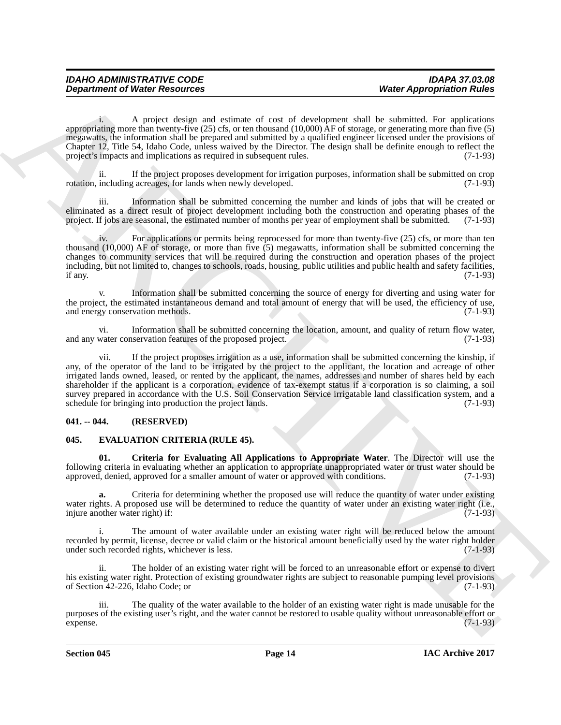| <b>IDAHO ADMINISTRATIVE CODE</b>     | <b>IDAPA 37.03.08</b>            |
|--------------------------------------|----------------------------------|
| <b>Department of Water Resources</b> | <b>Water Appropriation Rules</b> |

i. A project design and estimate of cost of development shall be submitted. For applications appropriating more than twenty-five  $(25)$  cfs, or ten thousand  $(10,000)$   $\hat{A}F$  of storage, or generating more than five  $(5)$ megawatts, the information shall be prepared and submitted by a qualified engineer licensed under the provisions of Chapter 12, Title 54, Idaho Code, unless waived by the Director. The design shall be definite enough to reflect the project's impacts and implications as required in subsequent rules. (7-1-93)

ii. If the project proposes development for irrigation purposes, information shall be submitted on crop rotation, including acreages, for lands when newly developed. (7-1-93)

iii. Information shall be submitted concerning the number and kinds of jobs that will be created or eliminated as a direct result of project development including both the construction and operating phases of the project. If jobs are seasonal, the estimated number of months per vear of employment shall be submitted. (7-1 project. If jobs are seasonal, the estimated number of months per year of employment shall be submitted.

iv. For applications or permits being reprocessed for more than twenty-five (25) cfs, or more than ten thousand (10,000) AF of storage, or more than five  $(5)$  megawatts, information shall be submitted concerning the changes to community services that will be required during the construction and operation phases of the project including, but not limited to, changes to schools, roads, housing, public utilities and public health and safety facilities, if any.  $(7-1-93)$ 

Information shall be submitted concerning the source of energy for diverting and using water for the project, the estimated instantaneous demand and total amount of energy that will be used, the efficiency of use, and energy conservation methods. (7-1-93) and energy conservation methods.

vi. Information shall be submitted concerning the location, amount, and quality of return flow water, and any water conservation features of the proposed project.

**Department of Niese Research and Southweat Country of the composition state of Appropriation Rules<br>
System and the result depict of the system and state the system and the system and the system and the system of<br>
Couple** vii. If the project proposes irrigation as a use, information shall be submitted concerning the kinship, if any, of the operator of the land to be irrigated by the project to the applicant, the location and acreage of other irrigated lands owned, leased, or rented by the applicant, the names, addresses and number of shares held by each shareholder if the applicant is a corporation, evidence of tax-exempt status if a corporation is so claiming, a soil survey prepared in accordance with the U.S. Soil Conservation Service irrigatable land classification system, and a schedule for bringing into production the project lands. (7-1-93) schedule for bringing into production the project lands.

#### <span id="page-13-0"></span>**041. -- 044. (RESERVED)**

#### <span id="page-13-2"></span><span id="page-13-1"></span>**045. EVALUATION CRITERIA (RULE 45).**

<span id="page-13-3"></span>**01. Criteria for Evaluating All Applications to Appropriate Water**. The Director will use the following criteria in evaluating whether an application to appropriate unappropriated water or trust water should be approved, denied, approved for a smaller amount of water or approved with conditions. (7-1-93)

**a.** Criteria for determining whether the proposed use will reduce the quantity of water under existing water rights. A proposed use will be determined to reduce the quantity of water under an existing water right (i.e., injure another water right) if: injure another water right) if:

The amount of water available under an existing water right will be reduced below the amount recorded by permit, license, decree or valid claim or the historical amount beneficially used by the water right holder under such recorded rights, whichever is less. (7-1-93) under such recorded rights, whichever is less.

ii. The holder of an existing water right will be forced to an unreasonable effort or expense to divert his existing water right. Protection of existing groundwater rights are subject to reasonable pumping level provisions of Section 42-226, Idaho Code; or (7-1-93)

iii. The quality of the water available to the holder of an existing water right is made unusable for the purposes of the existing user's right, and the water cannot be restored to usable quality without unreasonable effort or  $e^{\frac{1}{2}(7-1-93)}$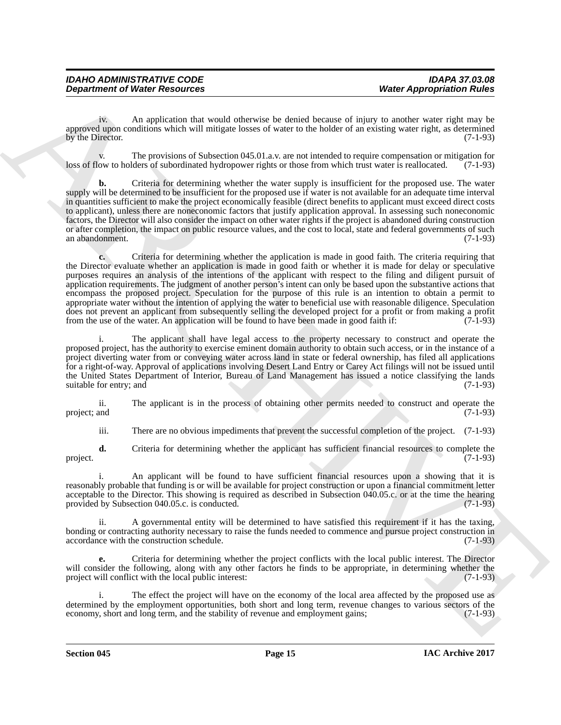iv. An application that would otherwise be denied because of injury to another water right may be approved upon conditions which will mitigate losses of water to the holder of an existing water right, as determined<br>(7-1-93) by the Director.

The provisions of Subsection 045.01.a.v. are not intended to require compensation or mitigation for Iders of subordinated hydropower rights or those from which trust water is reallocated. (7-1-93) loss of flow to holders of subordinated hydropower rights or those from which trust water is reallocated.

**b.** Criteria for determining whether the water supply is insufficient for the proposed use. The water supply will be determined to be insufficient for the proposed use if water is not available for an adequate time interval in quantities sufficient to make the project economically feasible (direct benefits to applicant must exceed direct costs to applicant), unless there are noneconomic factors that justify application approval. In assessing such noneconomic factors, the Director will also consider the impact on other water rights if the project is abandoned during construction or after completion, the impact on public resource values, and the cost to local, state and federal governments of such an abandonment. (7-1-93)

**Department of Nietz-Associates West Associates West Associates and the control of the system of the system of the system of the system of the system of the system of the system of the system of the system of the syst c.** Criteria for determining whether the application is made in good faith. The criteria requiring that the Director evaluate whether an application is made in good faith or whether it is made for delay or speculative purposes requires an analysis of the intentions of the applicant with respect to the filing and diligent pursuit of application requirements. The judgment of another person's intent can only be based upon the substantive actions that encompass the proposed project. Speculation for the purpose of this rule is an intention to obtain a permit to appropriate water without the intention of applying the water to beneficial use with reasonable diligence. Speculation does not prevent an applicant from subsequently selling the developed project for a profit or from making a profit from the use of the water. An application will be found to have been made in good faith if: (7-1-93)

i. The applicant shall have legal access to the property necessary to construct and operate the proposed project, has the authority to exercise eminent domain authority to obtain such access, or in the instance of a project diverting water from or conveying water across land in state or federal ownership, has filed all applications for a right-of-way. Approval of applications involving Desert Land Entry or Carey Act filings will not be issued until the United States Department of Interior, Bureau of Land Management has issued a notice classifying the lands<br>suitable for entry; and (7-1-93) suitable for entry; and

ii. The applicant is in the process of obtaining other permits needed to construct and operate the project; and (7-1-93)

iii. There are no obvious impediments that prevent the successful completion of the project. (7-1-93)

**d.** Criteria for determining whether the applicant has sufficient financial resources to complete the (7-1-93) project. (7-1-93)

i. An applicant will be found to have sufficient financial resources upon a showing that it is reasonably probable that funding is or will be available for project construction or upon a financial commitment letter acceptable to the Director. This showing is required as described in Subsection 040.05.c. or at the time the hearing provided by Subsection 040.05.c. is conducted. (7-1-93)

ii. A governmental entity will be determined to have satisfied this requirement if it has the taxing, bonding or contracting authority necessary to raise the funds needed to commence and pursue project construction in accordance with the construction schedule. (7-1-93)

**e.** Criteria for determining whether the project conflicts with the local public interest. The Director will consider the following, along with any other factors he finds to be appropriate, in determining whether the project will conflict with the local public interest: (7-1-93)

i. The effect the project will have on the economy of the local area affected by the proposed use as determined by the employment opportunities, both short and long term, revenue changes to various sectors of the economy, short and long term, and the stability of revenue and employment gains; (7-1-93)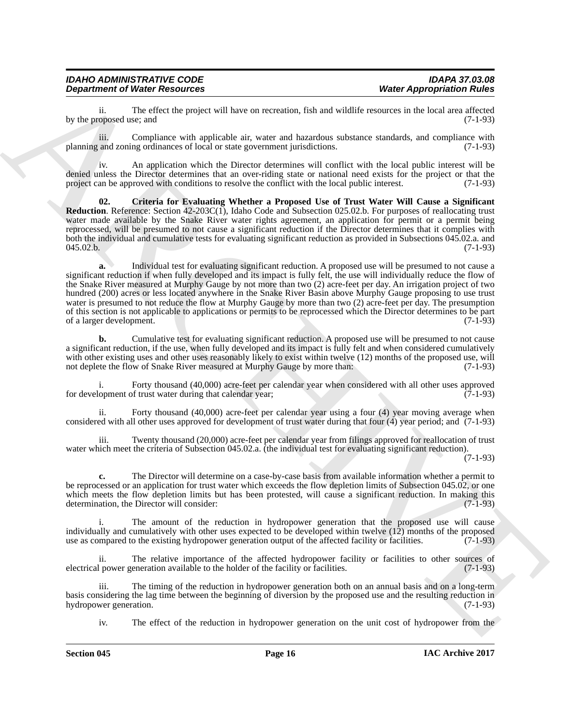| <b>IDAHO ADMINISTRATIVE CODE</b>     | <b>IDAPA 37.03.08</b>            |
|--------------------------------------|----------------------------------|
| <b>Department of Water Resources</b> | <b>Water Appropriation Rules</b> |

ii. The effect the project will have on recreation, fish and wildlife resources in the local area affected by the proposed use; and

iii. Compliance with applicable air, water and hazardous substance standards, and compliance with planning and zoning ordinances of local or state government jurisdictions. (7-1-93)

iv. An application which the Director determines will conflict with the local public interest will be denied unless the Director determines that an over-riding state or national need exists for the project or that the project can be approved with conditions to resolve the conflict with the local public interest.

<span id="page-15-0"></span>**02. Criteria for Evaluating Whether a Proposed Use of Trust Water Will Cause a Significant Reduction**. Reference: Section 42-203C(1), Idaho Code and Subsection 025.02.b. For purposes of reallocating trust water made available by the Snake River water rights agreement, an application for permit or a permit being reprocessed, will be presumed to not cause a significant reduction if the Director determines that it complies with both the individual and cumulative tests for evaluating significant reduction as provided in Subsections 045.02.a. and 045.02.b. (7-1-93)

**Department of New Associates West Associates West Apergotiation Rivers**<br>
For European and The Constitute spectral law to recreate the base of the constraints and the constraints of the constraints and the constraints **a.** Individual test for evaluating significant reduction. A proposed use will be presumed to not cause a significant reduction if when fully developed and its impact is fully felt, the use will individually reduce the flow of the Snake River measured at Murphy Gauge by not more than two (2) acre-feet per day. An irrigation project of two hundred (200) acres or less located anywhere in the Snake River Basin above Murphy Gauge proposing to use trust water is presumed to not reduce the flow at Murphy Gauge by more than two (2) acre-feet per day. The presumption of this section is not applicable to applications or permits to be reprocessed which the Director determines to be part of a larger development. (7-1-93)

**b.** Cumulative test for evaluating significant reduction. A proposed use will be presumed to not cause a significant reduction, if the use, when fully developed and its impact is fully felt and when considered cumulatively with other existing uses and other uses reasonably likely to exist within twelve (12) months of the proposed use, will<br>not deplete the flow of Snake River measured at Murphy Gauge by more than: (7-1-93) not deplete the flow of Snake River measured at Murphy Gauge by more than:

i. Forty thousand (40,000) acre-feet per calendar year when considered with all other uses approved for development of trust water during that calendar year;  $(7-1-93)$ 

ii. Forty thousand (40,000) acre-feet per calendar year using a four (4) year moving average when considered with all other uses approved for development of trust water during that four (4) year period; and (7-1-93)

iii. Twenty thousand (20,000) acre-feet per calendar year from filings approved for reallocation of trust water which meet the criteria of Subsection 045.02.a. (the individual test for evaluating significant reduction).

(7-1-93)

**c.** The Director will determine on a case-by-case basis from available information whether a permit to be reprocessed or an application for trust water which exceeds the flow depletion limits of Subsection 045.02, or one which meets the flow depletion limits but has been protested, will cause a significant reduction. In making this determination, the Director will consider: (7-1-93)

i. The amount of the reduction in hydropower generation that the proposed use will cause individually and cumulatively with other uses expected to be developed within twelve (12) months of the proposed use as compared to the existing hydropower generation output of the affected facility or facilities. (7-1-93)

ii. The relative importance of the affected hydropower facility or facilities to other sources of power generation available to the holder of the facility or facilities. (7-1-93) electrical power generation available to the holder of the facility or facilities.

iii. The timing of the reduction in hydropower generation both on an annual basis and on a long-term basis considering the lag time between the beginning of diversion by the proposed use and the resulting reduction in hydropower generation. (7-1-93) hydropower generation.

iv. The effect of the reduction in hydropower generation on the unit cost of hydropower from the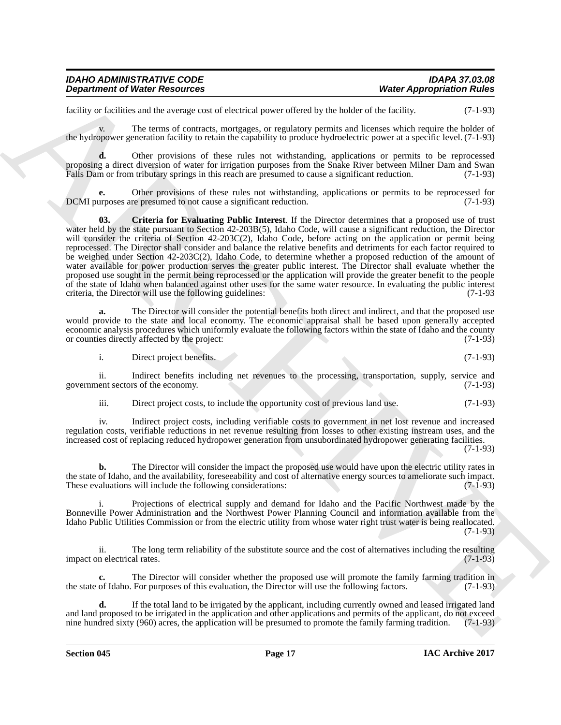| <b>IDAHO ADMINISTRATIVE CODE</b>     | <b>IDAPA 37.03.08</b>            |
|--------------------------------------|----------------------------------|
| <b>Department of Water Resources</b> | <b>Water Appropriation Rules</b> |

facility or facilities and the average cost of electrical power offered by the holder of the facility. (7-1-93)

v. The terms of contracts, mortgages, or regulatory permits and licenses which require the holder of the hydropower generation facility to retain the capability to produce hydroelectric power at a specific level. (7-1-93)

**d.** Other provisions of these rules not withstanding, applications or permits to be reprocessed proposing a direct diversion of water for irrigation purposes from the Snake River between Milner Dam and Swan Falls Dam or from tributary springs in this reach are presumed to cause a significant reduction. (7-1-93)

<span id="page-16-0"></span>Other provisions of these rules not withstanding, applications or permits to be reprocessed for represumed to not cause a significant reduction. (7-1-93) DCMI purposes are presumed to not cause a significant reduction.

**Department of Weiler Resources<br>
Lettins:** which is the strong cost of collective procedure of the label of the label of the strong cost of the strong cost of the label of the strong cost of the strong cost of the strong **03. Criteria for Evaluating Public Interest**. If the Director determines that a proposed use of trust water held by the state pursuant to Section 42-203B(5), Idaho Code, will cause a significant reduction, the Director will consider the criteria of Section 42-203C(2), Idaho Code, before acting on the application or permit being reprocessed. The Director shall consider and balance the relative benefits and detriments for each factor required to be weighed under Section 42-203C(2), Idaho Code, to determine whether a proposed reduction of the amount of water available for power production serves the greater public interest. The Director shall evaluate whether the proposed use sought in the permit being reprocessed or the application will provide the greater benefit to the people of the state of Idaho when balanced against other uses for the same water resource. In evaluating the public interest criteria, the Director will use the following guidelines: criteria, the Director will use the following guidelines:

**a.** The Director will consider the potential benefits both direct and indirect, and that the proposed use would provide to the state and local economy. The economic appraisal shall be based upon generally accepted economic analysis procedures which uniformly evaluate the following factors within the state of Idaho and the county<br>or counties directly affected by the project: or counties directly affected by the project:

i. Direct project benefits. (7-1-93)

ii. Indirect benefits including net revenues to the processing, transportation, supply, service and government sectors of the economy. (7-1-93)

iii. Direct project costs, to include the opportunity cost of previous land use. (7-1-93)

iv. Indirect project costs, including verifiable costs to government in net lost revenue and increased regulation costs, verifiable reductions in net revenue resulting from losses to other existing instream uses, and the increased cost of replacing reduced hydropower generation from unsubordinated hydropower generating facilities. (7-1-93)

**b.** The Director will consider the impact the proposed use would have upon the electric utility rates in the state of Idaho, and the availability, foreseeability and cost of alternative energy sources to ameliorate such impact.<br>These evaluations will include the following considerations: (7-1-93) These evaluations will include the following considerations:

i. Projections of electrical supply and demand for Idaho and the Pacific Northwest made by the Bonneville Power Administration and the Northwest Power Planning Council and information available from the Idaho Public Utilities Commission or from the electric utility from whose water right trust water is being reallocated.  $(7-1-93)$ 

ii. The long term reliability of the substitute source and the cost of alternatives including the resulting n electrical rates. (7-1-93) impact on electrical rates.

The Director will consider whether the proposed use will promote the family farming tradition in<br>For purposes of this evaluation, the Director will use the following factors. the state of Idaho. For purposes of this evaluation, the Director will use the following factors.

**d.** If the total land to be irrigated by the applicant, including currently owned and leased irrigated land and land proposed to be irrigated in the application and other applications and permits of the applicant, do not exceed nine hundred sixty (960) acres, the application will be presumed to promote the family farming traditi nine hundred sixty (960) acres, the application will be presumed to promote the family farming tradition.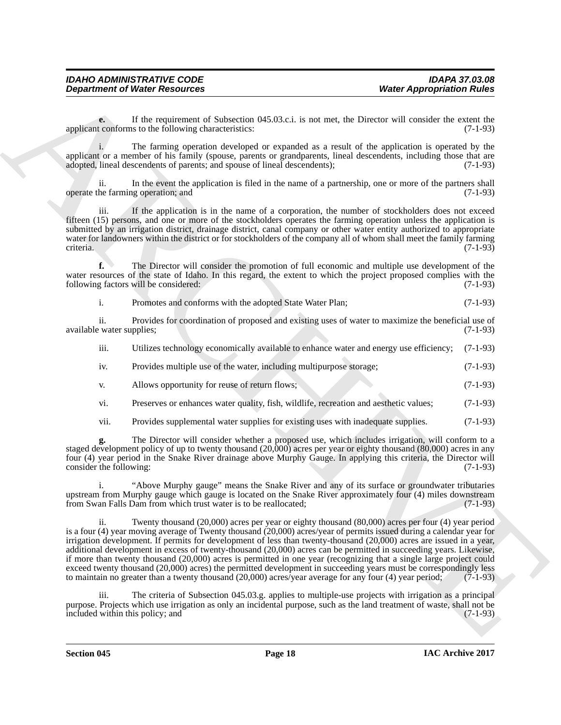**e.** If the requirement of Subsection 045.03.c.i. is not met, the Director will consider the extent the toordorms to the following characteristics: (7-1-93) applicant conforms to the following characteristics:

i. The farming operation developed or expanded as a result of the application is operated by the applicant or a member of his family (spouse, parents or grandparents, lineal descendents, including those that are adopted. lineal descendents of parents: and spouse of lineal descendents): (7-1-93) adopted, lineal descendents of parents; and spouse of lineal descendents);

ii. In the event the application is filed in the name of a partnership, one or more of the partners shall operate the farming operation; and (7-1-93)

iii. If the application is in the name of a corporation, the number of stockholders does not exceed fifteen (15) persons, and one or more of the stockholders operates the farming operation unless the application is submitted by an irrigation district, drainage district, canal company or other water entity authorized to appropriate water for landowners within the district or for stockholders of the company all of whom shall meet the family farming criteria. (7-1-93) criteria. (7-1-93)

**f.** The Director will consider the promotion of full economic and multiple use development of the water resources of the state of Idaho. In this regard, the extent to which the project proposed complies with the following factors will be considered: (7-1-93)

i. Promotes and conforms with the adopted State Water Plan; (7-1-93)

ii. Provides for coordination of proposed and existing uses of water to maximize the beneficial use of available water supplies; (7-1-93)

| $\cdots$ |  |                                                                                                 |  |
|----------|--|-------------------------------------------------------------------------------------------------|--|
| 111.     |  | Utilizes technology economically available to enhance water and energy use efficiency; (7-1-93) |  |
|          |  |                                                                                                 |  |

- iv. Provides multiple use of the water, including multipurpose storage; (7-1-93)
- v. Allows opportunity for reuse of return flows; (7-1-93)
- vi. Preserves or enhances water quality, fish, wildlife, recreation and aesthetic values; (7-1-93)
- vii. Provides supplemental water supplies for existing uses with inadequate supplies. (7-1-93)

**g.** The Director will consider whether a proposed use, which includes irrigation, will conform to a staged development policy of up to twenty thousand (20,000) acres per year or eighty thousand (80,000) acres in any four (4) year period in the Snake River drainage above Murphy Gauge. In applying this criteria, the Director will consider the following:

i. "Above Murphy gauge" means the Snake River and any of its surface or groundwater tributaries upstream from Murphy gauge which gauge is located on the Snake River approximately four (4) miles downstream from Swan Falls Dam from which trust water is to be reallocated; (7-1-93) from Swan Falls Dam from which trust water is to be reallocated;

**Department of Niese Research example, the state of 5.00** and to the Direct will be received the state of states in the state of 5.00 and the Direct will ensure the example the state of the state of a state blue the state ii. Twenty thousand (20,000) acres per year or eighty thousand (80,000) acres per four (4) year period is a four (4) year moving average of Twenty thousand (20,000) acres/year of permits issued during a calendar year for irrigation development. If permits for development of less than twenty-thousand (20,000) acres are issued in a year, additional development in excess of twenty-thousand (20,000) acres can be permitted in succeeding years. Likewise, if more than twenty thousand (20,000) acres is permitted in one year (recognizing that a single large project could exceed twenty thousand (20,000) acres) the permitted development in succeeding years must be correspondingly less to maintain no greater than a twenty thousand (20,000) acres/year average for any four (4) year period; (7-1-93)

iii. The criteria of Subsection 045.03.g. applies to multiple-use projects with irrigation as a principal purpose. Projects which use irrigation as only an incidental purpose, such as the land treatment of waste, shall not be included within this policy; and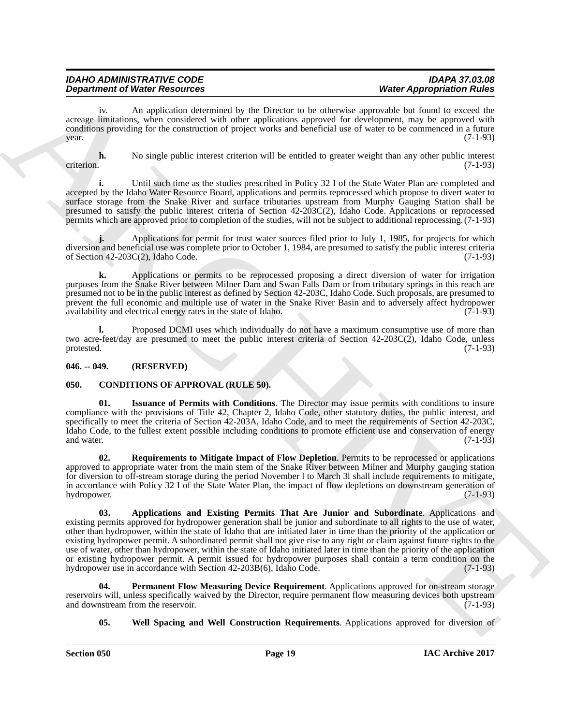| <b>IDAHO ADMINISTRATIVE CODE</b>     | <b>IDAPA 37.03.08</b>            |
|--------------------------------------|----------------------------------|
| <b>Department of Water Resources</b> | <b>Water Appropriation Rules</b> |

iv. An application determined by the Director to be otherwise approvable but found to exceed the acreage limitations, when considered with other applications approved for development, may be approved with conditions providing for the construction of project works and beneficial use of water to be commenced in a future year. (7-1-93)  $\mu$  year. (7-1-93)

**h.** No single public interest criterion will be entitled to greater weight than any other public interest criterion. (7-1-93) criterion. (7-1-93)

**i.** Until such time as the studies prescribed in Policy 32 I of the State Water Plan are completed and accepted by the Idaho Water Resource Board, applications and permits reprocessed which propose to divert water to surface storage from the Snake River and surface tributaries upstream from Murphy Gauging Station shall be presumed to satisfy the public interest criteria of Section 42-203C(2), Idaho Code. Applications or reprocessed permits which are approved prior to completion of the studies, will not be subject to additional reprocessing.(7-1-93)

**j.** Applications for permit for trust water sources filed prior to July 1, 1985, for projects for which diversion and beneficial use was complete prior to October 1, 1984, are presumed to satisfy the public interest criteria of Section 42-203C(2), Idaho Code. (7-1-93) of Section 42-203C(2), Idaho Code.

**k.** Applications or permits to be reprocessed proposing a direct diversion of water for irrigation purposes from the Snake River between Milner Dam and Swan Falls Dam or from tributary springs in this reach are presumed not to be in the public interest as defined by Section 42-203C, Idaho Code. Such proposals, are presumed to prevent the full economic and multiple use of water in the Snake River Basin and to adversely affect hydropower availability and electrical energy rates in the state of Idaho. (7-1-93) availability and electrical energy rates in the state of Idaho.

**l.** Proposed DCMI uses which individually do not have a maximum consumptive use of more than two acre-feet/day are presumed to meet the public interest criteria of Section 42-203C(2), Idaho Code, unless protested. (7-1-93) protested. (7-1-93)

#### <span id="page-18-0"></span>**046. -- 049. (RESERVED)**

#### <span id="page-18-2"></span><span id="page-18-1"></span>**050. CONDITIONS OF APPROVAL (RULE 50).**

<span id="page-18-4"></span>**01. Issuance of Permits with Conditions**. The Director may issue permits with conditions to insure compliance with the provisions of Title 42, Chapter 2, Idaho Code, other statutory duties, the public interest, and specifically to meet the criteria of Section 42-203A, Idaho Code, and to meet the requirements of Section 42-203C, Idaho Code, to the fullest extent possible including conditions to promote efficient use and conservation of energy and water. (7-1-93) and water. (7-1-93)

<span id="page-18-5"></span><span id="page-18-3"></span>**02. Requirements to Mitigate Impact of Flow Depletion**. Permits to be reprocessed or applications approved to appropriate water from the main stem of the Snake River between Milner and Murphy gauging station for diversion to off-stream storage during the period November l to March 3l shall include requirements to mitigate, in accordance with Policy 32 I of the State Water Plan, the impact of flow depletions on downstream generation of hydropower. (7-1-93)

**Department of West Research of Architectural System and Section 2.** West Paper Section 2. The state of West Paper Section 2. The state of West Paper Section 2. The state of the state of West Paper Section 2. The state of **03. Applications and Existing Permits That Are Junior and Subordinate**. Applications and existing permits approved for hydropower generation shall be junior and subordinate to all rights to the use of water, other than hydropower, within the state of Idaho that are initiated later in time than the priority of the application or existing hydropower permit. A subordinated permit shall not give rise to any right or claim against future rights to the use of water, other than hydropower, within the state of Idaho initiated later in time than the priority of the application or existing hydropower permit. A permit issued for hydropower purposes shall contain a term condition on the hydropower use in accordance with Section 42-203B(6), Idaho Code. (7-1-93) hydropower use in accordance with Section 42-203B(6), Idaho Code.

**04. Permanent Flow Measuring Device Requirement**. Applications approved for on-stream storage reservoirs will, unless specifically waived by the Director, require permanent flow measuring devices both upstream and downstream from the reservoir. (7-1-93) and downstream from the reservoir.

#### <span id="page-18-7"></span><span id="page-18-6"></span>**05. Well Spacing and Well Construction Requirements**. Applications approved for diversion of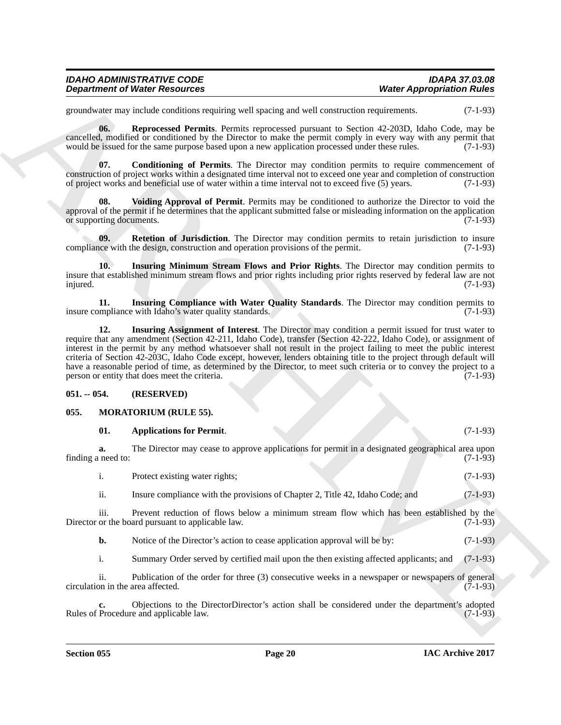| <b>IDAHO ADMINISTRATIVE CODE</b>     | <b>IDAPA 37.03.08</b>            |
|--------------------------------------|----------------------------------|
| <b>Department of Water Resources</b> | <b>Water Appropriation Rules</b> |

groundwater may include conditions requiring well spacing and well construction requirements. (7-1-93)

<span id="page-19-6"></span>**06. Reprocessed Permits**. Permits reprocessed pursuant to Section 42-203D, Idaho Code, may be cancelled, modified or conditioned by the Director to make the permit comply in every way with any permit that would be issued for the same purpose based upon a new application processed under these rules. (7-1-93)

<span id="page-19-2"></span>**07. Conditioning of Permits**. The Director may condition permits to require commencement of construction of project works within a designated time interval not to exceed one year and completion of construction of project works and beneficial use of water within a time interval not to exceed five (5) years. (7-1-93)

<span id="page-19-8"></span>**08. Voiding Approval of Permit**. Permits may be conditioned to authorize the Director to void the approval of the permit if he determines that the applicant submitted false or misleading information on the application<br>or supporting documents. or supporting documents.

<span id="page-19-7"></span>**09.** Retetion of Jurisdiction. The Director may condition permits to retain jurisdiction to insure ace with the design, construction and operation provisions of the permit. (7-1-93) compliance with the design, construction and operation provisions of the permit.

<span id="page-19-5"></span>**10. Insuring Minimum Stream Flows and Prior Rights**. The Director may condition permits to insure that established minimum stream flows and prior rights including prior rights reserved by federal law are not injured. (7-1-93)

<span id="page-19-4"></span><span id="page-19-3"></span>**11. Insuring Compliance with Water Quality Standards**. The Director may condition permits to mpliance with Idaho's water quality standards. (7-1-93) insure compliance with Idaho's water quality standards.

**Department of Niese Resources<br>
symmetric contents the method contents and system and well constructed in Section 16.46<br>
symmetric and the method contents for the method contents of the section 16.50 to 16.45 to 16.51<br>
se 12. Insuring Assignment of Interest**. The Director may condition a permit issued for trust water to require that any amendment (Section 42-211, Idaho Code), transfer (Section 42-222, Idaho Code), or assignment of interest in the permit by any method whatsoever shall not result in the project failing to meet the public interest criteria of Section 42-203C, Idaho Code except, however, lenders obtaining title to the project through default will have a reasonable period of time, as determined by the Director, to meet such criteria or to convey the project to a person or entity that does meet the criteria. (7-1-93)

#### <span id="page-19-0"></span>**051. -- 054. (RESERVED)**

#### <span id="page-19-1"></span>**055. MORATORIUM (RULE 55).**

#### <span id="page-19-10"></span><span id="page-19-9"></span>**01. Applications for Permit**. (7-1-93)

|                    |  |  | The Director may cease to approve applications for permit in a designated geographical area upon |
|--------------------|--|--|--------------------------------------------------------------------------------------------------|
| finding a need to: |  |  | $(7-1-93)$                                                                                       |
|                    |  |  |                                                                                                  |

i. Protect existing water rights; (7-1-93)

ii. Insure compliance with the provisions of Chapter 2, Title 42, Idaho Code; and (7-1-93)

iii. Prevent reduction of flows below a minimum stream flow which has been established by the or the board pursuant to applicable law. (7-1-93) Director or the board pursuant to applicable law.

**b.** Notice of the Director's action to cease application approval will be by:  $(7-1-93)$ 

i. Summary Order served by certified mail upon the then existing affected applicants; and (7-1-93)

ii. Publication of the order for three (3) consecutive weeks in a newspaper or newspapers of general circulation in the area affected.

**c.** Objections to the DirectorDirector's action shall be considered under the department's adopted Procedure and applicable law. (7-1-93) Rules of Procedure and applicable law.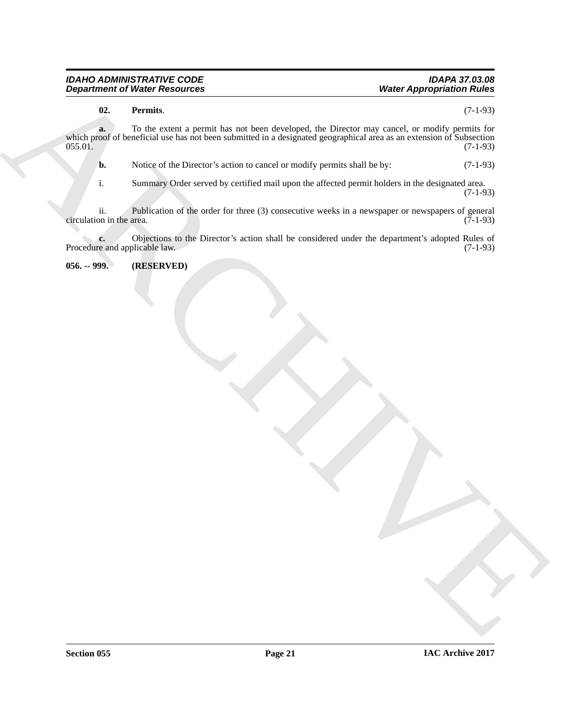#### *IDAHO ADMINISTRATIVE CODE IDAPA 37.03.08 Department of Water Resources*

#### <span id="page-20-1"></span>**02. Permits**. (7-1-93)

**Department of Water Resolution**<br>
(a) Premails and the state and the depleted the Disputer any grand, or reddy premain the<br> **ARCHIVE CONSULTER CONSULTER CONSULTER CONSULTER AND CONSULTER CONSULTER CONSULTER (A)**<br>
A **Notic a.** To the extent a permit has not been developed, the Director may cancel, or modify permits for which proof of beneficial use has not been submitted in a designated geographical area as an extension of Subsection 055.01. (7-1-93) 055.01. (7-1-93)

**b.** Notice of the Director's action to cancel or modify permits shall be by:  $(7-1-93)$ 

i. Summary Order served by certified mail upon the affected permit holders in the designated area. (7-1-93)

ii. Publication of the order for three (3) consecutive weeks in a newspaper or newspapers of general circulation in the area.

**c.** Objections to the Director's action shall be considered under the department's adopted Rules of re and applicable law. (7-1-93) Procedure and applicable law.

<span id="page-20-0"></span>**056. -- 999. (RESERVED)**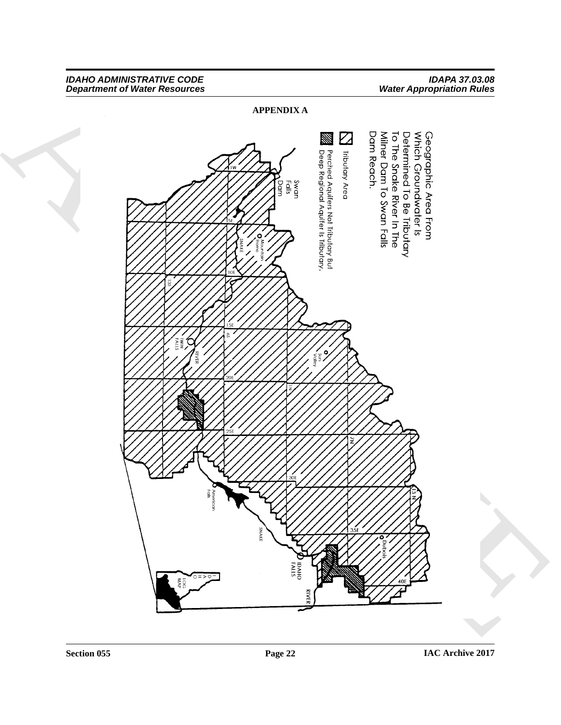#### *IDAHO ADMINISTRATIVE CODE IDAPA 37.03.08 Department of Water Resources Water Appropriation Rules*

<span id="page-21-0"></span>**APPENDIX A**

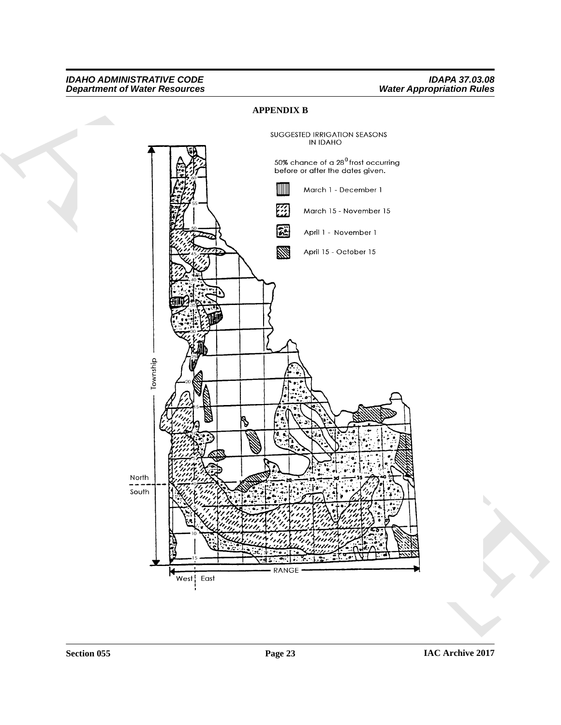#### *IDAHO ADMINISTRATIVE CODE IDAPA 37.03.08 Department of Water Resources Water Appropriation Rules*

#### <span id="page-22-0"></span>**APPENDIX B**

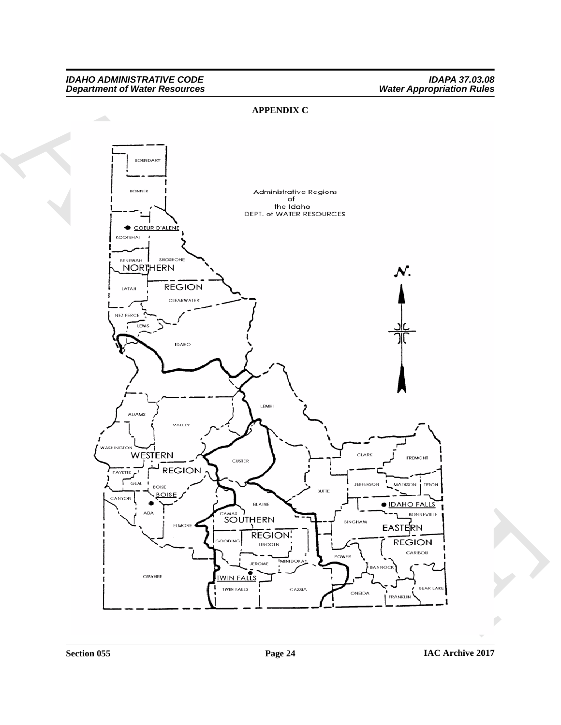#### *IDAHO ADMINISTRATIVE CODE IDAPA 37.03.08 Department of Water Resources Water Appropriation Rules*

#### <span id="page-23-0"></span>**APPENDIX C**